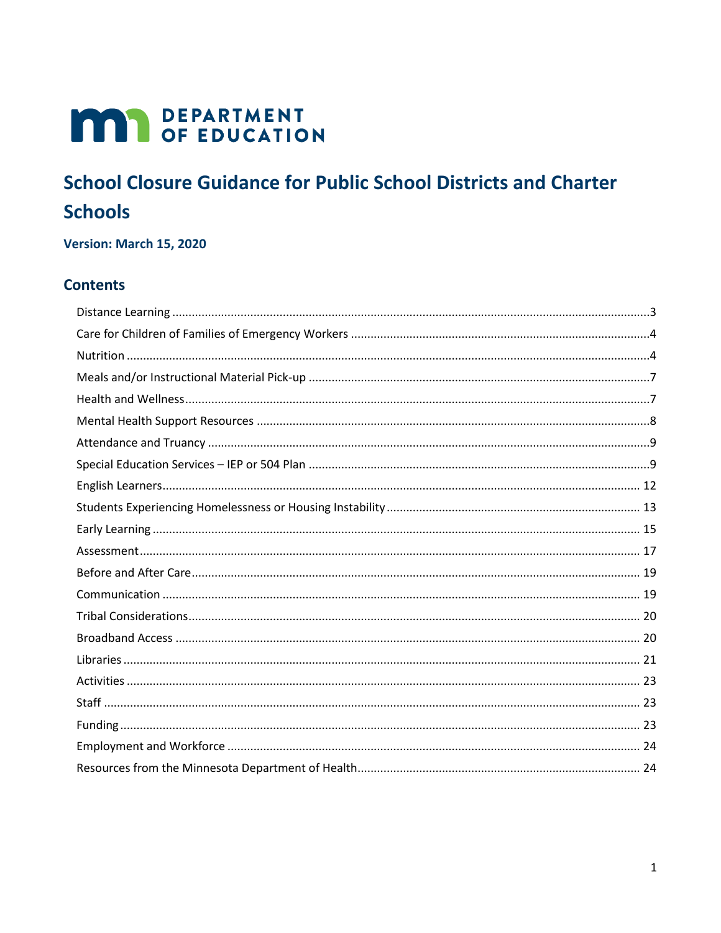# **MAY DEPARTMENT**

# **School Closure Guidance for Public School Districts and Charter Schools**

Version: March 15, 2020

### **Contents**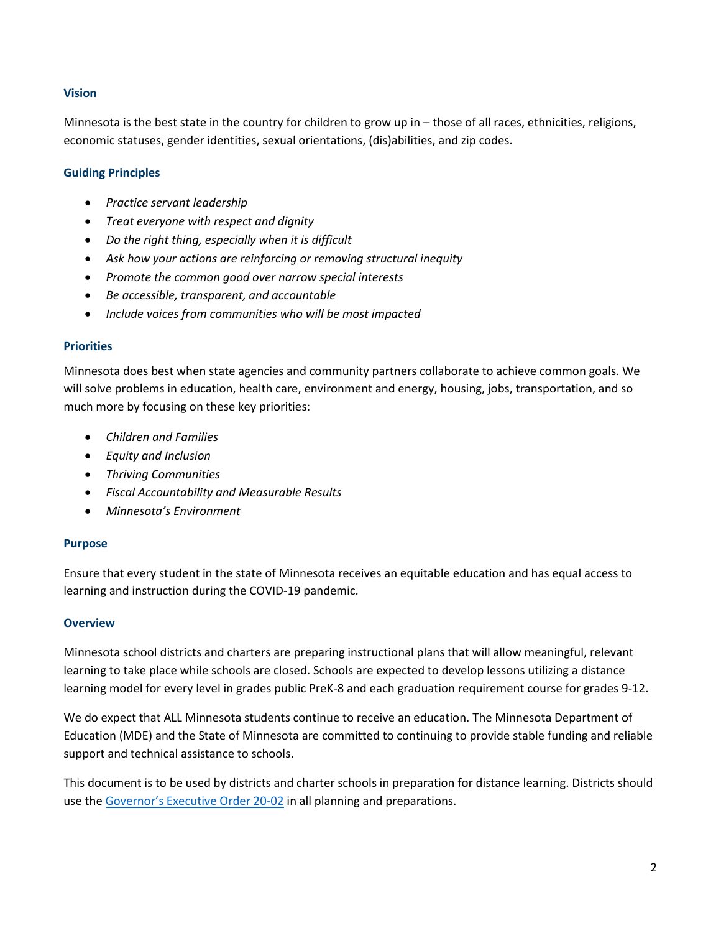#### **Vision**

Minnesota is the best state in the country for children to grow up in – those of all races, ethnicities, religions, economic statuses, gender identities, sexual orientations, (dis)abilities, and zip codes.

#### **Guiding Principles**

- *Practice servant leadership*
- *Treat everyone with respect and dignity*
- *Do the right thing, especially when it is difficult*
- *Ask how your actions are reinforcing or removing structural inequity*
- *Promote the common good over narrow special interests*
- *Be accessible, transparent, and accountable*
- *Include voices from communities who will be most impacted*

#### **Priorities**

Minnesota does best when state agencies and community partners collaborate to achieve common goals. We will solve problems in education, health care, environment and energy, housing, jobs, transportation, and so much more by focusing on these key priorities:

- *Children and Families*
- *Equity and Inclusion*
- *Thriving Communities*
- *Fiscal Accountability and Measurable Results*
- *Minnesota's Environment*

#### **Purpose**

Ensure that every student in the state of Minnesota receives an equitable education and has equal access to learning and instruction during the COVID-19 pandemic.

#### **Overview**

Minnesota school districts and charters are preparing instructional plans that will allow meaningful, relevant learning to take place while schools are closed. Schools are expected to develop lessons utilizing a distance learning model for every level in grades public PreK-8 and each graduation requirement course for grades 9-12.

We do expect that ALL Minnesota students continue to receive an education. The Minnesota Department of Education (MDE) and the State of Minnesota are committed to continuing to provide stable funding and reliable support and technical assistance to schools.

This document is to be used by districts and charter schools in preparation for distance learning. Districts should use the [Governor's Executive Order 20](https://mn.gov/governor/assets/EO%2020-02%20Final_tcm1055-423073.pdf)-02 in all planning and preparations.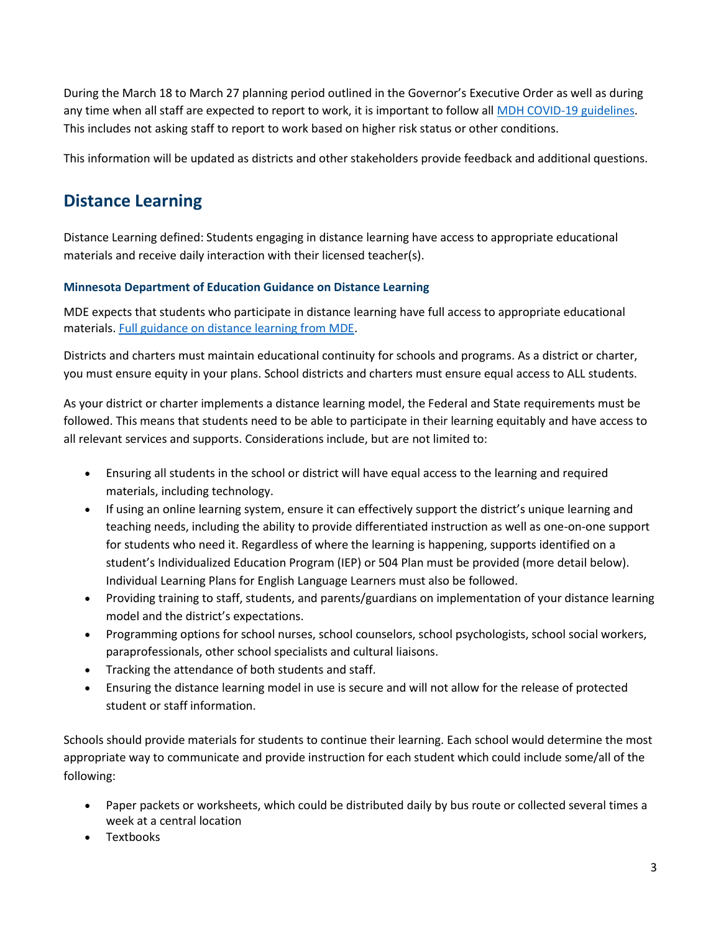During the March 18 to March 27 planning period outlined in the Governor's Executive Order as well as during any time when all staff are expected to report to work, it is important to follow all [MDH COVID-19 guidelines.](https://www.health.state.mn.us/diseases/coronavirus/index.html) This includes not asking staff to report to work based on higher risk status or other conditions.

This information will be updated as districts and other stakeholders provide feedback and additional questions.

### <span id="page-2-0"></span>**Distance Learning**

Distance Learning defined: Students engaging in distance learning have access to appropriate educational materials and receive daily interaction with their licensed teacher(s).

#### **Minnesota Department of Education Guidance on Distance Learning**

MDE expects that students who participate in distance learning have full access to appropriate educational materials. [Full guidance on distance learning from MDE.](https://education.mn.gov/mdeprod/idcplg?IdcService=GET_FILE&dDocName=MDE032056&RevisionSelectionMethod=latestReleased&Rendition=primary)

Districts and charters must maintain educational continuity for schools and programs. As a district or charter, you must ensure equity in your plans. School districts and charters must ensure equal access to ALL students.

As your district or charter implements a distance learning model, the Federal and State requirements must be followed. This means that students need to be able to participate in their learning equitably and have access to all relevant services and supports. Considerations include, but are not limited to:

- Ensuring all students in the school or district will have equal access to the learning and required materials, including technology.
- If using an online learning system, ensure it can effectively support the district's unique learning and teaching needs, including the ability to provide differentiated instruction as well as one-on-one support for students who need it. Regardless of where the learning is happening, supports identified on a student's Individualized Education Program (IEP) or 504 Plan must be provided (more detail below). Individual Learning Plans for English Language Learners must also be followed.
- Providing training to staff, students, and parents/guardians on implementation of your distance learning model and the district's expectations.
- Programming options for school nurses, school counselors, school psychologists, school social workers, paraprofessionals, other school specialists and cultural liaisons.
- Tracking the attendance of both students and staff.
- Ensuring the distance learning model in use is secure and will not allow for the release of protected student or staff information.

Schools should provide materials for students to continue their learning. Each school would determine the most appropriate way to communicate and provide instruction for each student which could include some/all of the following:

- Paper packets or worksheets, which could be distributed daily by bus route or collected several times a week at a central location
- Textbooks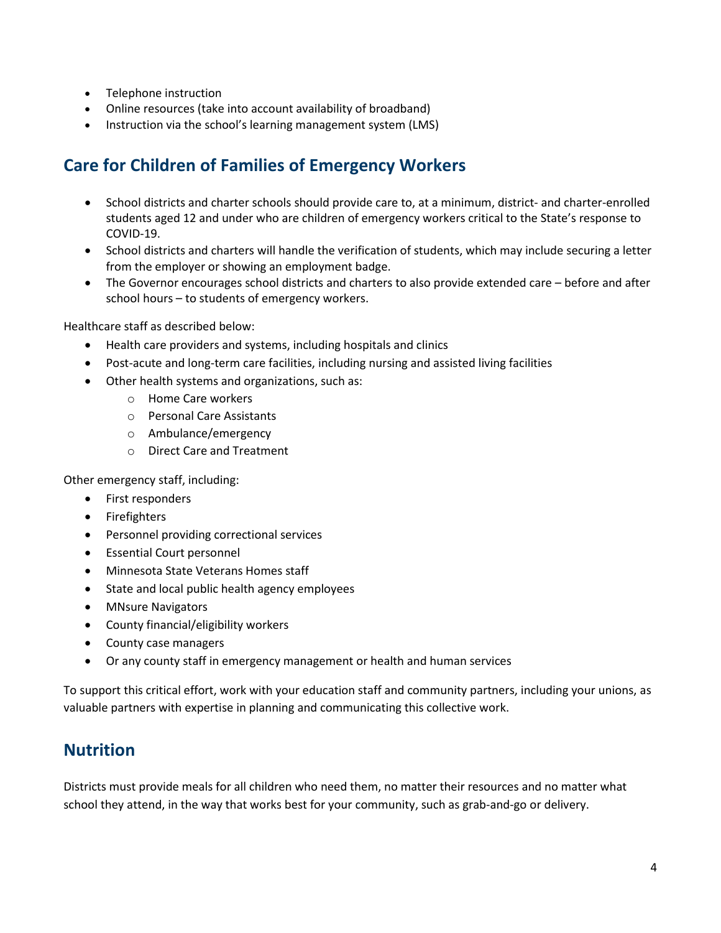- Telephone instruction
- Online resources (take into account availability of broadband)
- Instruction via the school's learning management system (LMS)

### <span id="page-3-0"></span>**Care for Children of Families of Emergency Workers**

- School districts and charter schools should provide care to, at a minimum, district- and charter-enrolled students aged 12 and under who are children of emergency workers critical to the State's response to COVID-19.
- School districts and charters will handle the verification of students, which may include securing a letter from the employer or showing an employment badge.
- The Governor encourages school districts and charters to also provide extended care before and after school hours – to students of emergency workers.

Healthcare staff as described below:

- Health care providers and systems, including hospitals and clinics
- Post-acute and long-term care facilities, including nursing and assisted living facilities
- Other health systems and organizations, such as:
	- o Home Care workers
	- o Personal Care Assistants
	- o Ambulance/emergency
	- o Direct Care and Treatment

<span id="page-3-1"></span>Other emergency staff, including:

- First responders
- Firefighters
- Personnel providing correctional services
- Essential Court personnel
- Minnesota State Veterans Homes staff
- State and local public health agency employees
- MNsure Navigators
- County financial/eligibility workers
- County case managers
- Or any county staff in emergency management or health and human services

To support this critical effort, work with your education staff and community partners, including your unions, as valuable partners with expertise in planning and communicating this collective work.

### **Nutrition**

Districts must provide meals for all children who need them, no matter their resources and no matter what school they attend, in the way that works best for your community, such as grab-and-go or delivery.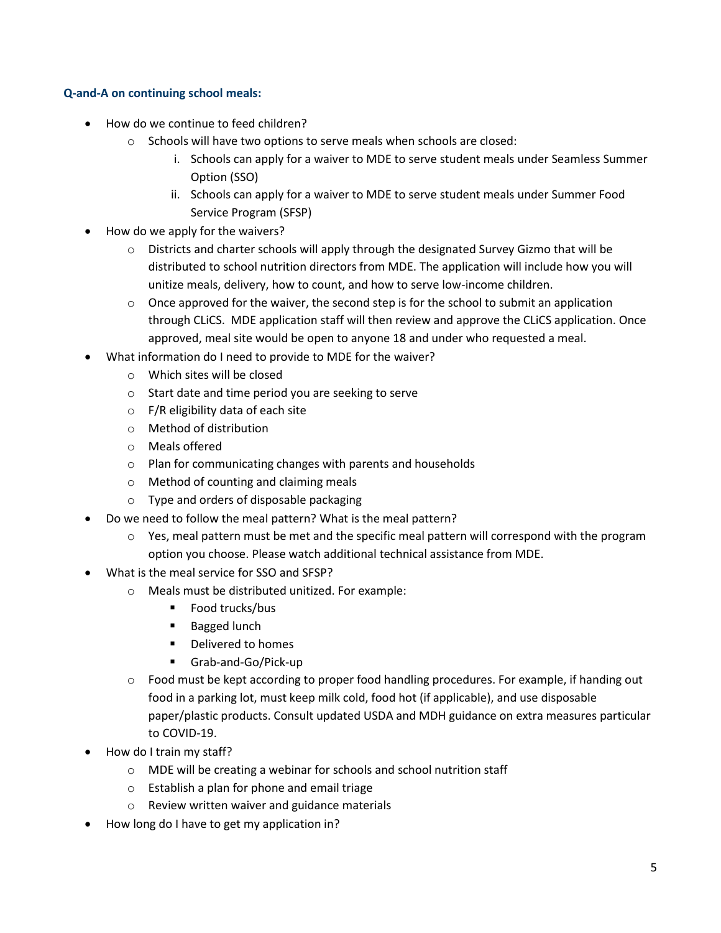#### **Q-and-A on continuing school meals:**

- How do we continue to feed children?
	- o Schools will have two options to serve meals when schools are closed:
		- i. Schools can apply for a waiver to MDE to serve student meals under Seamless Summer Option (SSO)
		- ii. Schools can apply for a waiver to MDE to serve student meals under Summer Food Service Program (SFSP)
- How do we apply for the waivers?
	- $\circ$  Districts and charter schools will apply through the designated Survey Gizmo that will be distributed to school nutrition directors from MDE. The application will include how you will unitize meals, delivery, how to count, and how to serve low-income children.
	- $\circ$  Once approved for the waiver, the second step is for the school to submit an application through CLiCS. MDE application staff will then review and approve the CLiCS application. Once approved, meal site would be open to anyone 18 and under who requested a meal.
- What information do I need to provide to MDE for the waiver?
	- o Which sites will be closed
	- o Start date and time period you are seeking to serve
	- $\circ$  F/R eligibility data of each site
	- o Method of distribution
	- o Meals offered
	- o Plan for communicating changes with parents and households
	- o Method of counting and claiming meals
	- o Type and orders of disposable packaging
- Do we need to follow the meal pattern? What is the meal pattern?
	- $\circ$  Yes, meal pattern must be met and the specific meal pattern will correspond with the program option you choose. Please watch additional technical assistance from MDE.
- What is the meal service for SSO and SFSP?
	- o Meals must be distributed unitized. For example:
		- Food trucks/bus
		- **Bagged lunch**
		- **•** Delivered to homes
		- Grab-and-Go/Pick-up
	- $\circ$  Food must be kept according to proper food handling procedures. For example, if handing out food in a parking lot, must keep milk cold, food hot (if applicable), and use disposable paper/plastic products. Consult updated USDA and MDH guidance on extra measures particular to COVID-19.
- How do I train my staff?
	- o MDE will be creating a webinar for schools and school nutrition staff
	- o Establish a plan for phone and email triage
	- o Review written waiver and guidance materials
- How long do I have to get my application in?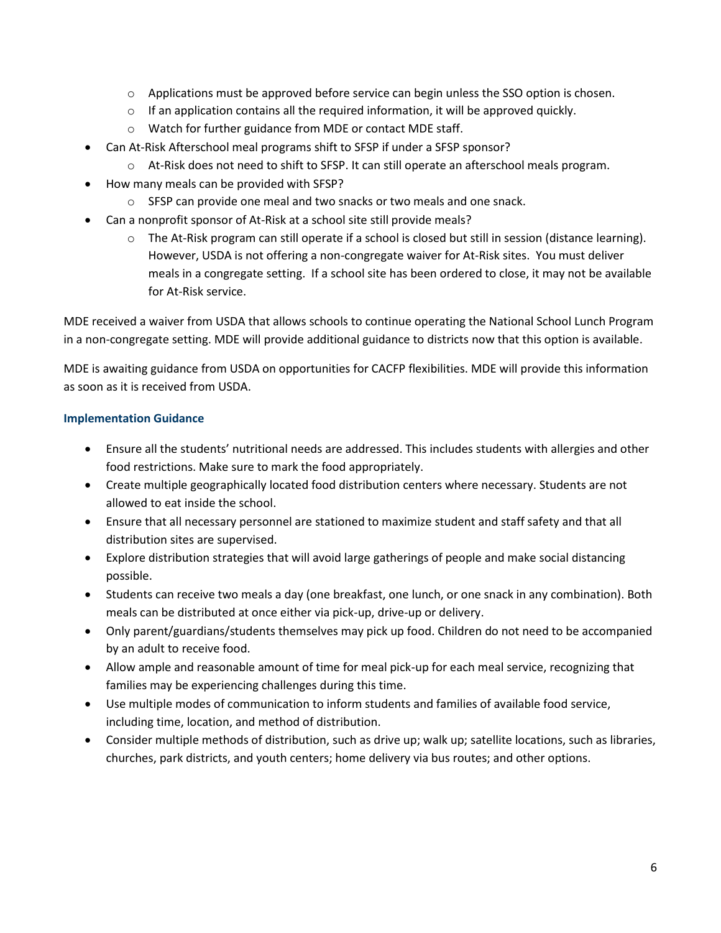- $\circ$  Applications must be approved before service can begin unless the SSO option is chosen.
- $\circ$  If an application contains all the required information, it will be approved quickly.
- o Watch for further guidance from MDE or contact MDE staff.
- Can At-Risk Afterschool meal programs shift to SFSP if under a SFSP sponsor?
	- o At-Risk does not need to shift to SFSP. It can still operate an afterschool meals program.
- How many meals can be provided with SFSP?
	- o SFSP can provide one meal and two snacks or two meals and one snack.
- Can a nonprofit sponsor of At-Risk at a school site still provide meals?
	- o The At-Risk program can still operate if a school is closed but still in session (distance learning). However, USDA is not offering a non-congregate waiver for At-Risk sites. You must deliver meals in a congregate setting. If a school site has been ordered to close, it may not be available for At-Risk service.

MDE received a waiver from USDA that allows schools to continue operating the National School Lunch Program in a non-congregate setting. MDE will provide additional guidance to districts now that this option is available.

MDE is awaiting guidance from USDA on opportunities for CACFP flexibilities. MDE will provide this information as soon as it is received from USDA.

#### **Implementation Guidance**

- Ensure all the students' nutritional needs are addressed. This includes students with allergies and other food restrictions. Make sure to mark the food appropriately.
- Create multiple geographically located food distribution centers where necessary. Students are not allowed to eat inside the school.
- Ensure that all necessary personnel are stationed to maximize student and staff safety and that all distribution sites are supervised.
- Explore distribution strategies that will avoid large gatherings of people and make social distancing possible.
- Students can receive two meals a day (one breakfast, one lunch, or one snack in any combination). Both meals can be distributed at once either via pick-up, drive-up or delivery.
- Only parent/guardians/students themselves may pick up food. Children do not need to be accompanied by an adult to receive food.
- Allow ample and reasonable amount of time for meal pick-up for each meal service, recognizing that families may be experiencing challenges during this time.
- Use multiple modes of communication to inform students and families of available food service, including time, location, and method of distribution.
- Consider multiple methods of distribution, such as drive up; walk up; satellite locations, such as libraries, churches, park districts, and youth centers; home delivery via bus routes; and other options.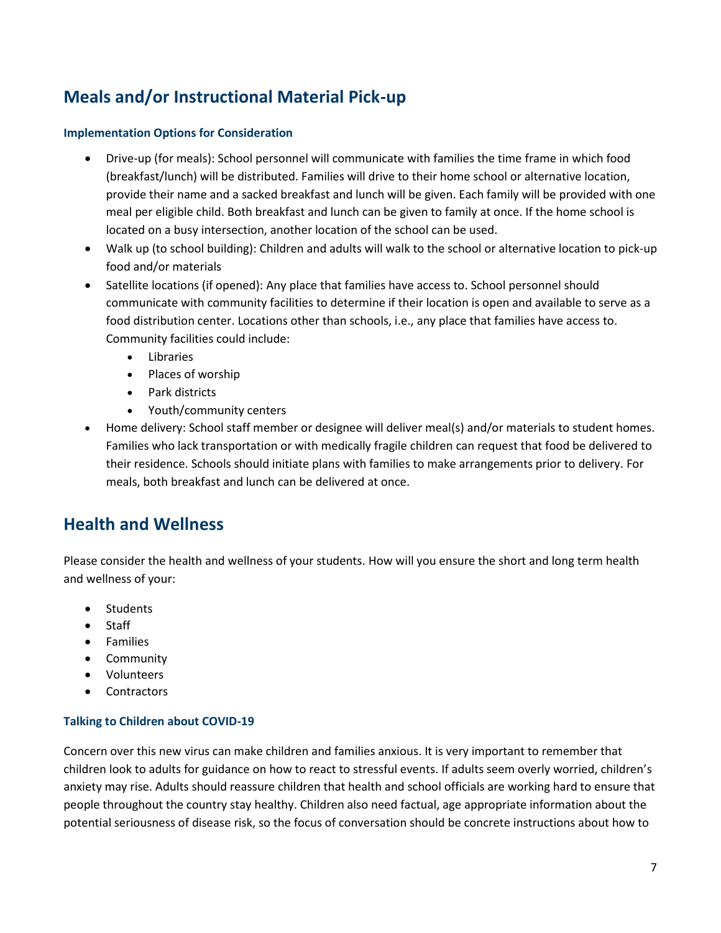# <span id="page-6-0"></span>**Meals and/or Instructional Material Pick-up**

#### **Implementation Options for Consideration**

- Drive-up (for meals): School personnel will communicate with families the time frame in which food (breakfast/lunch) will be distributed. Families will drive to their home school or alternative location, provide their name and a sacked breakfast and lunch will be given. Each family will be provided with one meal per eligible child. Both breakfast and lunch can be given to family at once. If the home school is located on a busy intersection, another location of the school can be used.
- Walk up (to school building): Children and adults will walk to the school or alternative location to pick-up food and/or materials
- Satellite locations (if opened): Any place that families have access to. School personnel should communicate with community facilities to determine if their location is open and available to serve as a food distribution center. Locations other than schools, i.e., any place that families have access to. Community facilities could include:
	- Libraries
	- Places of worship
	- Park districts
	- Youth/community centers
- Home delivery: School staff member or designee will deliver meal(s) and/or materials to student homes. Families who lack transportation or with medically fragile children can request that food be delivered to their residence. Schools should initiate plans with families to make arrangements prior to delivery. For meals, both breakfast and lunch can be delivered at once.

### <span id="page-6-1"></span>**Health and Wellness**

Please consider the health and wellness of your students. How will you ensure the short and long term health and wellness of your:

- Students
- Staff
- Families
- Community
- Volunteers
- Contractors

#### **Talking to Children about COVID-19**

Concern over this new virus can make children and families anxious. It is very important to remember that children look to adults for guidance on how to react to stressful events. If adults seem overly worried, children's anxiety may rise. Adults should reassure children that health and school officials are working hard to ensure that people throughout the country stay healthy. Children also need factual, age appropriate information about the potential seriousness of disease risk, so the focus of conversation should be concrete instructions about how to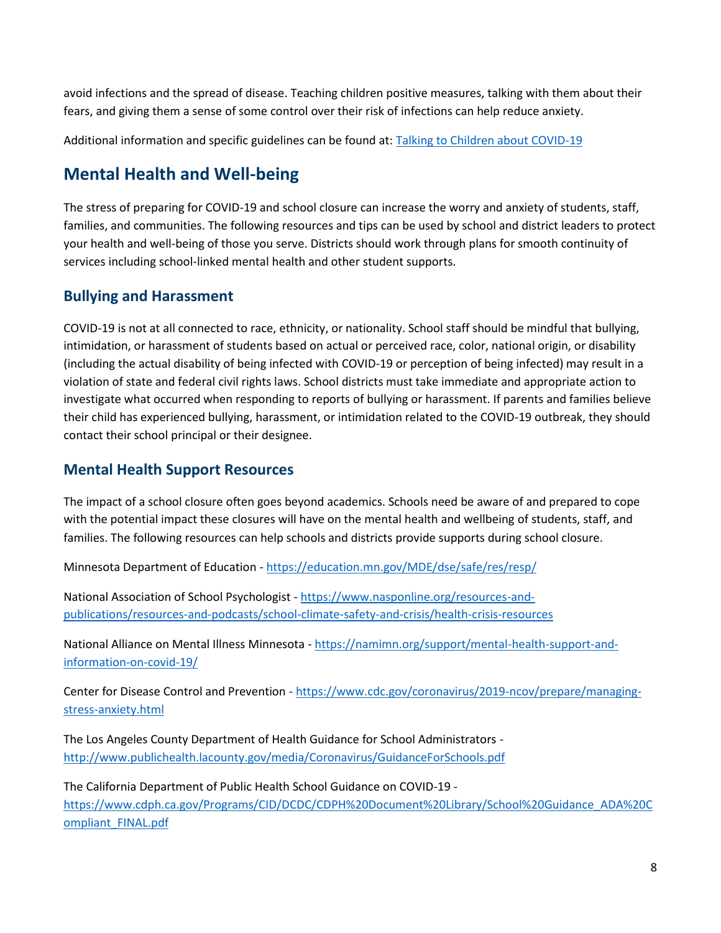avoid infections and the spread of disease. Teaching children positive measures, talking with them about their fears, and giving them a sense of some control over their risk of infections can help reduce anxiety.

Additional information and specific guidelines can be found at: [Talking to Children about COVID-19](https://www.nasponline.org/resources-and-publications/resources-and-podcasts/school-climate-safety-and-crisis/health-crisis-resources/talking-to-children-about-covid-19-(coronavirus)-a-parent-resource)

### **Mental Health and Well-being**

The stress of preparing for COVID-19 and school closure can increase the worry and anxiety of students, staff, families, and communities. The following resources and tips can be used by school and district leaders to protect your health and well-being of those you serve. Districts should work through plans for smooth continuity of services including school-linked mental health and other student supports.

### **Bullying and Harassment**

COVID-19 is not at all connected to race, ethnicity, or nationality. School staff should be mindful that bullying, intimidation, or harassment of students based on actual or perceived race, color, national origin, or disability (including the actual disability of being infected with COVID-19 or perception of being infected) may result in a violation of state and federal civil rights laws. School districts must take immediate and appropriate action to investigate what occurred when responding to reports of bullying or harassment. If parents and families believe their child has experienced bullying, harassment, or intimidation related to the COVID-19 outbreak, they should contact their school principal or their designee.

### <span id="page-7-0"></span>**Mental Health Support Resources**

The impact of a school closure often goes beyond academics. Schools need be aware of and prepared to cope with the potential impact these closures will have on the mental health and wellbeing of students, staff, and families. The following resources can help schools and districts provide supports during school closure.

Minnesota Department of Education - <https://education.mn.gov/MDE/dse/safe/res/resp/>

National Association of School Psychologist - [https://www.nasponline.org/resources-and](https://www.nasponline.org/resources-and-publications/resources-and-podcasts/school-climate-safety-and-crisis/health-crisis-resources)[publications/resources-and-podcasts/school-climate-safety-and-crisis/health-crisis-resources](https://www.nasponline.org/resources-and-publications/resources-and-podcasts/school-climate-safety-and-crisis/health-crisis-resources)

National Alliance on Mental Illness Minnesota - [https://namimn.org/support/mental-health-support-and](https://namimn.org/support/mental-health-support-and-information-on-covid-19/)[information-on-covid-19/](https://namimn.org/support/mental-health-support-and-information-on-covid-19/)

Center for Disease Control and Prevention - [https://www.cdc.gov/coronavirus/2019-ncov/prepare/managing](https://www.cdc.gov/coronavirus/2019-ncov/prepare/managing-stress-anxiety.html)[stress-anxiety.html](https://www.cdc.gov/coronavirus/2019-ncov/prepare/managing-stress-anxiety.html)

The Los Angeles County Department of Health Guidance for School Administrators <http://www.publichealth.lacounty.gov/media/Coronavirus/GuidanceForSchools.pdf>

The California Department of Public Health School Guidance on COVID-19 [https://www.cdph.ca.gov/Programs/CID/DCDC/CDPH%20Document%20Library/School%20Guidance\\_ADA%20C](https://www.cdph.ca.gov/Programs/CID/DCDC/CDPH%20Document%20Library/School%20Guidance_ADA%20Compliant_FINAL.pdf) [ompliant\\_FINAL.pdf](https://www.cdph.ca.gov/Programs/CID/DCDC/CDPH%20Document%20Library/School%20Guidance_ADA%20Compliant_FINAL.pdf)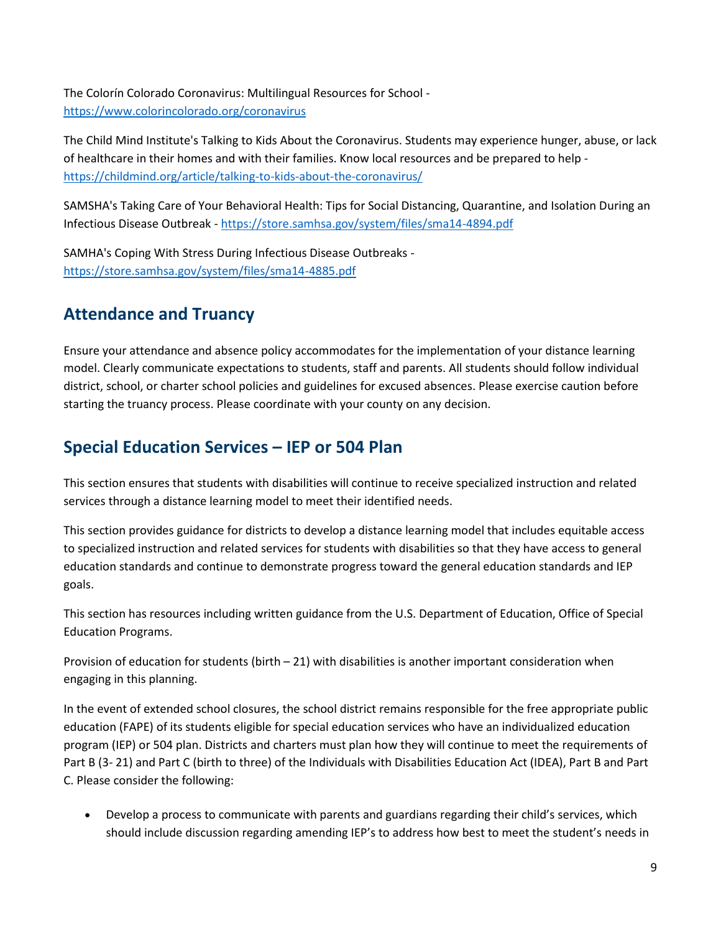The Colorín Colorado Coronavirus: Multilingual Resources for School <https://www.colorincolorado.org/coronavirus>

The Child Mind Institute's Talking to Kids About the Coronavirus. Students may experience hunger, abuse, or lack of healthcare in their homes and with their families. Know local resources and be prepared to help <https://childmind.org/article/talking-to-kids-about-the-coronavirus/>

SAMSHA's Taking Care of Your Behavioral Health: Tips for Social Distancing, Quarantine, and Isolation During an Infectious Disease Outbreak - <https://store.samhsa.gov/system/files/sma14-4894.pdf>

SAMHA's Coping With Stress During Infectious Disease Outbreaks <https://store.samhsa.gov/system/files/sma14-4885.pdf>

### <span id="page-8-0"></span>**Attendance and Truancy**

Ensure your attendance and absence policy accommodates for the implementation of your distance learning model. Clearly communicate expectations to students, staff and parents. All students should follow individual district, school, or charter school policies and guidelines for excused absences. Please exercise caution before starting the truancy process. Please coordinate with your county on any decision.

### <span id="page-8-1"></span>**Special Education Services – IEP or 504 Plan**

This section ensures that students with disabilities will continue to receive specialized instruction and related services through a distance learning model to meet their identified needs.

This section provides guidance for districts to develop a distance learning model that includes equitable access to specialized instruction and related services for students with disabilities so that they have access to general education standards and continue to demonstrate progress toward the general education standards and IEP goals.

This section has resources including written guidance from the U.S. Department of Education, Office of Special Education Programs.

Provision of education for students (birth  $-21$ ) with disabilities is another important consideration when engaging in this planning.

In the event of extended school closures, the school district remains responsible for the free appropriate public education (FAPE) of its students eligible for special education services who have an individualized education program (IEP) or 504 plan. Districts and charters must plan how they will continue to meet the requirements of Part B (3- 21) and Part C (birth to three) of the Individuals with Disabilities Education Act (IDEA), Part B and Part C. Please consider the following:

 Develop a process to communicate with parents and guardians regarding their child's services, which should include discussion regarding amending IEP's to address how best to meet the student's needs in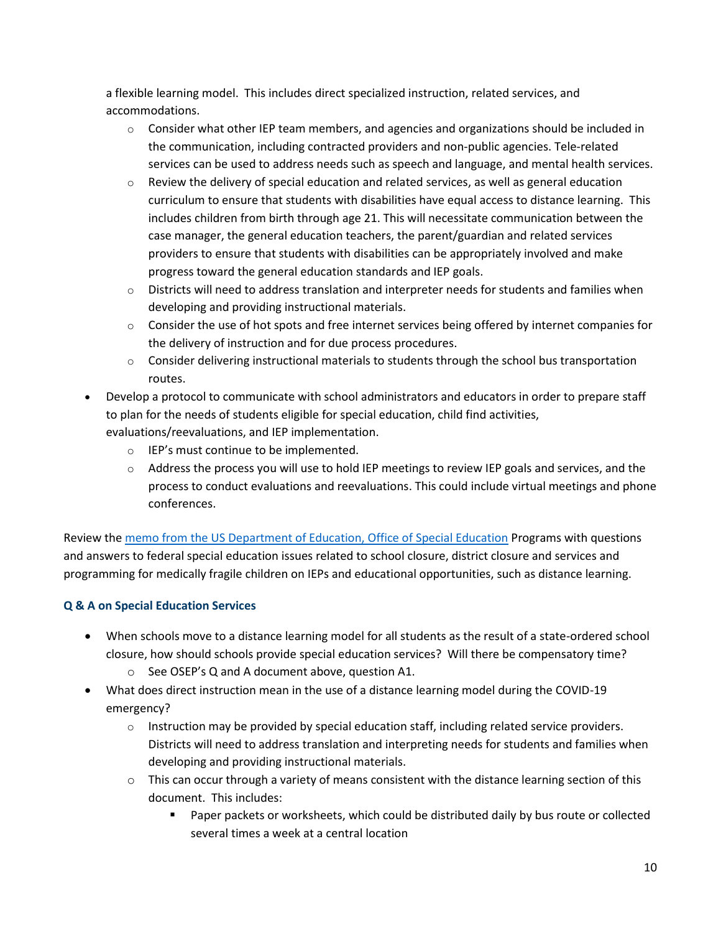a flexible learning model. This includes direct specialized instruction, related services, and accommodations.

- $\circ$  Consider what other IEP team members, and agencies and organizations should be included in the communication, including contracted providers and non-public agencies. Tele-related services can be used to address needs such as speech and language, and mental health services.
- $\circ$  Review the delivery of special education and related services, as well as general education curriculum to ensure that students with disabilities have equal access to distance learning. This includes children from birth through age 21. This will necessitate communication between the case manager, the general education teachers, the parent/guardian and related services providers to ensure that students with disabilities can be appropriately involved and make progress toward the general education standards and IEP goals.
- $\circ$  Districts will need to address translation and interpreter needs for students and families when developing and providing instructional materials.
- $\circ$  Consider the use of hot spots and free internet services being offered by internet companies for the delivery of instruction and for due process procedures.
- $\circ$  Consider delivering instructional materials to students through the school bus transportation routes.
- Develop a protocol to communicate with school administrators and educators in order to prepare staff to plan for the needs of students eligible for special education, child find activities, evaluations/reevaluations, and IEP implementation.
	- o IEP's must continue to be implemented.
	- $\circ$  Address the process you will use to hold IEP meetings to review IEP goals and services, and the process to conduct evaluations and reevaluations. This could include virtual meetings and phone conferences.

Review the [memo from the US Department of Education, Office of Special Education](https://www2.ed.gov/policy/speced/guid/idea/memosdcltrs/qa-covid-19-03-12-2020.pdf?utm_content=&utm_medium=email&utm_name=&utm_source=govdelivery&utm_term=) Programs with questions and answers to federal special education issues related to school closure, district closure and services and programming for medically fragile children on IEPs and educational opportunities, such as distance learning.

#### **Q & A on Special Education Services**

- When schools move to a distance learning model for all students as the result of a state-ordered school closure, how should schools provide special education services? Will there be compensatory time?
	- o See OSEP's Q and A document above, question A1.
- What does direct instruction mean in the use of a distance learning model during the COVID-19 emergency?
	- $\circ$  Instruction may be provided by special education staff, including related service providers. Districts will need to address translation and interpreting needs for students and families when developing and providing instructional materials.
	- $\circ$  This can occur through a variety of means consistent with the distance learning section of this document. This includes:
		- **Paper packets or worksheets, which could be distributed daily by bus route or collected** several times a week at a central location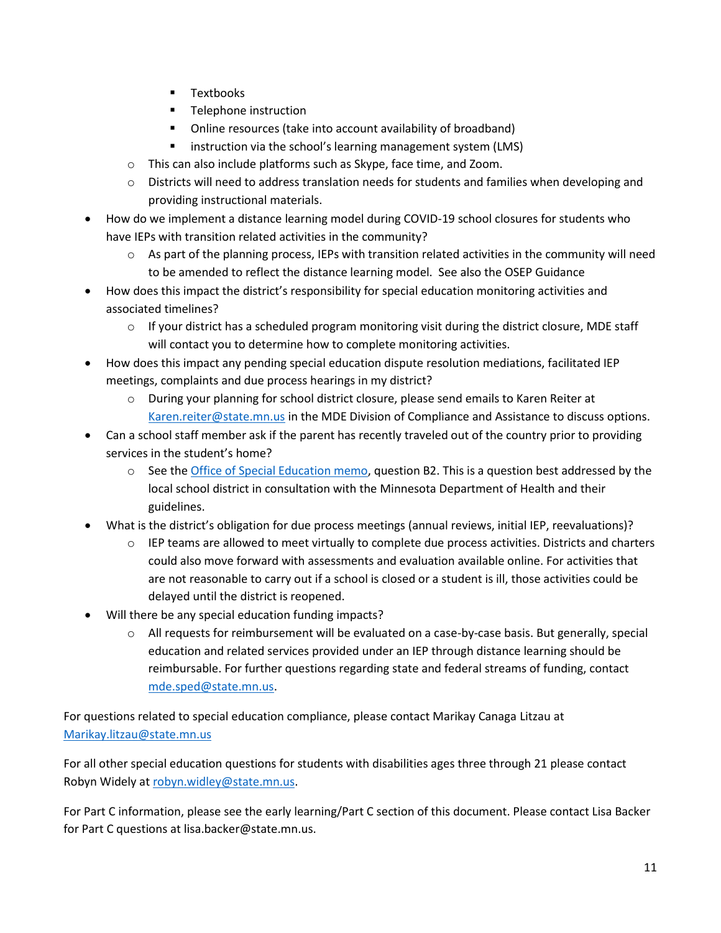- **Textbooks**
- **Telephone instruction**
- Online resources (take into account availability of broadband)
- instruction via the school's learning management system (LMS)
- o This can also include platforms such as Skype, face time, and Zoom.
- $\circ$  Districts will need to address translation needs for students and families when developing and providing instructional materials.
- How do we implement a distance learning model during COVID-19 school closures for students who have IEPs with transition related activities in the community?
	- $\circ$  As part of the planning process, IEPs with transition related activities in the community will need to be amended to reflect the distance learning model. See also the OSEP Guidance
- How does this impact the district's responsibility for special education monitoring activities and associated timelines?
	- $\circ$  If your district has a scheduled program monitoring visit during the district closure, MDE staff will contact you to determine how to complete monitoring activities.
- How does this impact any pending special education dispute resolution mediations, facilitated IEP meetings, complaints and due process hearings in my district?
	- o During your planning for school district closure, please send emails to Karen Reiter at [Karen.reiter@state.mn.us](mailto:Karen.reiter@state.mn.us) in the MDE Division of Compliance and Assistance to discuss options.
- Can a school staff member ask if the parent has recently traveled out of the country prior to providing services in the student's home?
	- $\circ$  See the *Office of Special Education memo*, question B2. This is a question best addressed by the local school district in consultation with the Minnesota Department of Health and their guidelines.
- What is the district's obligation for due process meetings (annual reviews, initial IEP, reevaluations)?
	- $\circ$  IEP teams are allowed to meet virtually to complete due process activities. Districts and charters could also move forward with assessments and evaluation available online. For activities that are not reasonable to carry out if a school is closed or a student is ill, those activities could be delayed until the district is reopened.
- Will there be any special education funding impacts?
	- o All requests for reimbursement will be evaluated on a case-by-case basis. But generally, special education and related services provided under an IEP through distance learning should be reimbursable. For further questions regarding state and federal streams of funding, contact [mde.sped@state.mn.us.](mailto:mde.sped@state.mn.us)

For questions related to special education compliance, please contact Marikay Canaga Litzau at [Marikay.litzau@state.mn.us](mailto:Marikay.litzau@state.mn.us)

For all other special education questions for students with disabilities ages three through 21 please contact Robyn Widely at [robyn.widley@state.mn.us.](mailto:robyn.widley@state.mn.us)

For Part C information, please see the early learning/Part C section of this document. Please contact Lisa Backer for Part C questions at lisa.backer@state.mn.us.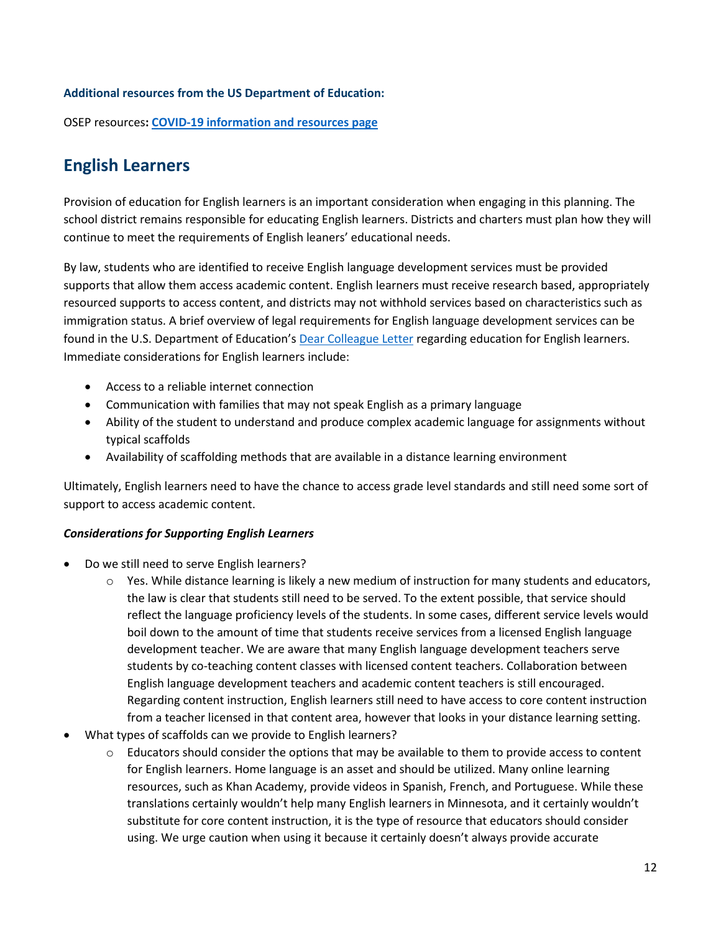#### **Additional resources from the US Department of Education:**

OSEP resources**: [COVID-19 information and resources page](https://lnks.gd/l/eyJhbGciOiJIUzI1NiJ9.eyJidWxsZXRpbl9saW5rX2lkIjoxMDQsInVyaSI6ImJwMjpjbGljayIsImJ1bGxldGluX2lkIjoiMjAyMDAzMTIuMTg2NDk4NzEiLCJ1cmwiOiJodHRwczovL3d3dy5lZC5nb3YvY29yb25hdmlydXM_dXRtX2NvbnRlbnQ9JnV0bV9tZWRpdW09ZW1haWwmdXRtX25hbWU9JnV0bV9zb3VyY2U9Z292ZGVsaXZlcnkmdXRtX3Rlcm09In0.5dU94hQWizhE85eswMHY1hHP3gk_Tf-V0FsnQJaypCc/br/76051597199-l)**

### <span id="page-11-0"></span>**English Learners**

Provision of education for English learners is an important consideration when engaging in this planning. The school district remains responsible for educating English learners. Districts and charters must plan how they will continue to meet the requirements of English leaners' educational needs.

By law, students who are identified to receive English language development services must be provided supports that allow them access academic content. English learners must receive research based, appropriately resourced supports to access content, and districts may not withhold services based on characteristics such as immigration status. A brief overview of legal requirements for English language development services can be found in the U.S. Department of Education's [Dear Colleague Letter](https://www2.ed.gov/about/offices/list/ocr/letters/colleague-el-201501.pdf) regarding education for English learners. Immediate considerations for English learners include:

- Access to a reliable internet connection
- Communication with families that may not speak English as a primary language
- Ability of the student to understand and produce complex academic language for assignments without typical scaffolds
- Availability of scaffolding methods that are available in a distance learning environment

Ultimately, English learners need to have the chance to access grade level standards and still need some sort of support to access academic content.

#### *Considerations for Supporting English Learners*

- Do we still need to serve English learners?
	- $\circ$  Yes. While distance learning is likely a new medium of instruction for many students and educators, the law is clear that students still need to be served. To the extent possible, that service should reflect the language proficiency levels of the students. In some cases, different service levels would boil down to the amount of time that students receive services from a licensed English language development teacher. We are aware that many English language development teachers serve students by co-teaching content classes with licensed content teachers. Collaboration between English language development teachers and academic content teachers is still encouraged. Regarding content instruction, English learners still need to have access to core content instruction from a teacher licensed in that content area, however that looks in your distance learning setting.
- What types of scaffolds can we provide to English learners?
	- $\circ$  Educators should consider the options that may be available to them to provide access to content for English learners. Home language is an asset and should be utilized. Many online learning resources, such as Khan Academy, provide videos in Spanish, French, and Portuguese. While these translations certainly wouldn't help many English learners in Minnesota, and it certainly wouldn't substitute for core content instruction, it is the type of resource that educators should consider using. We urge caution when using it because it certainly doesn't always provide accurate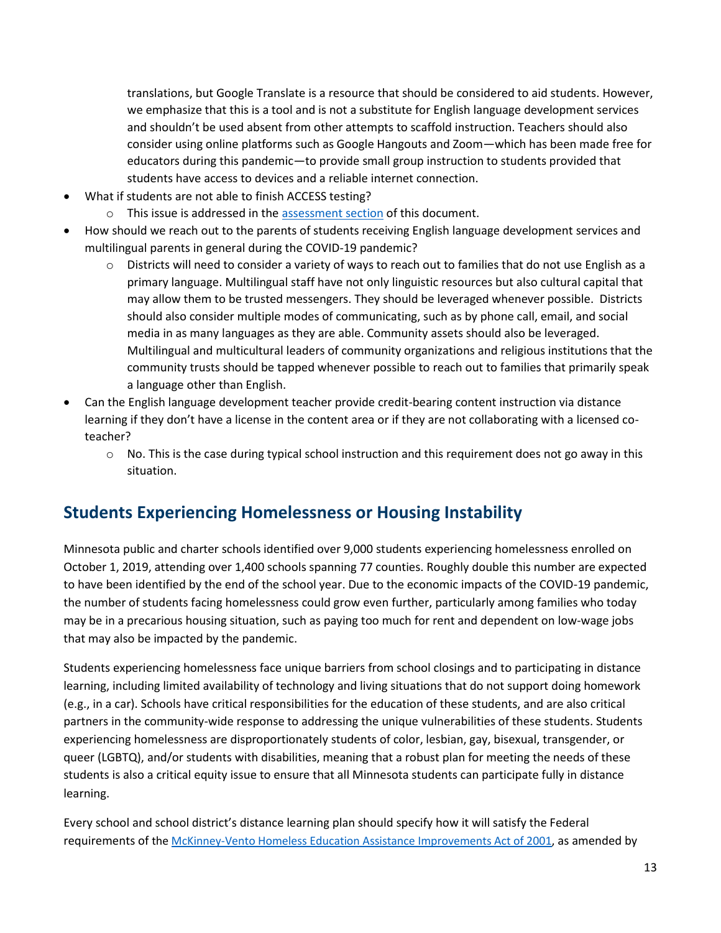translations, but Google Translate is a resource that should be considered to aid students. However, we emphasize that this is a tool and is not a substitute for English language development services and shouldn't be used absent from other attempts to scaffold instruction. Teachers should also consider using online platforms such as Google Hangouts and Zoom—which has been made free for educators during this pandemic—to provide small group instruction to students provided that students have access to devices and a reliable internet connection.

- What if students are not able to finish ACCESS testing?
	- o This issue is addressed in the [assessment section](#page-16-0) of this document.
- How should we reach out to the parents of students receiving English language development services and multilingual parents in general during the COVID-19 pandemic?
	- o Districts will need to consider a variety of ways to reach out to families that do not use English as a primary language. Multilingual staff have not only linguistic resources but also cultural capital that may allow them to be trusted messengers. They should be leveraged whenever possible. Districts should also consider multiple modes of communicating, such as by phone call, email, and social media in as many languages as they are able. Community assets should also be leveraged. Multilingual and multicultural leaders of community organizations and religious institutions that the community trusts should be tapped whenever possible to reach out to families that primarily speak a language other than English.
- Can the English language development teacher provide credit-bearing content instruction via distance learning if they don't have a license in the content area or if they are not collaborating with a licensed coteacher?
	- $\circ$  No. This is the case during typical school instruction and this requirement does not go away in this situation.

### <span id="page-12-0"></span>**Students Experiencing Homelessness or Housing Instability**

Minnesota public and charter schools identified over 9,000 students experiencing homelessness enrolled on October 1, 2019, attending over 1,400 schools spanning 77 counties. Roughly double this number are expected to have been identified by the end of the school year. Due to the economic impacts of the COVID-19 pandemic, the number of students facing homelessness could grow even further, particularly among families who today may be in a precarious housing situation, such as paying too much for rent and dependent on low-wage jobs that may also be impacted by the pandemic.

Students experiencing homelessness face unique barriers from school closings and to participating in distance learning, including limited availability of technology and living situations that do not support doing homework (e.g., in a car). Schools have critical responsibilities for the education of these students, and are also critical partners in the community-wide response to addressing the unique vulnerabilities of these students. Students experiencing homelessness are disproportionately students of color, lesbian, gay, bisexual, transgender, or queer (LGBTQ), and/or students with disabilities, meaning that a robust plan for meeting the needs of these students is also a critical equity issue to ensure that all Minnesota students can participate fully in distance learning.

Every school and school district's distance learning plan should specify how it will satisfy the Federal requirements of the [McKinney-Vento Homeless Education Assistance Improvements Act of 2001,](http://www2.ed.gov/policy/elsec/leg/esea02/pg116.html) as amended by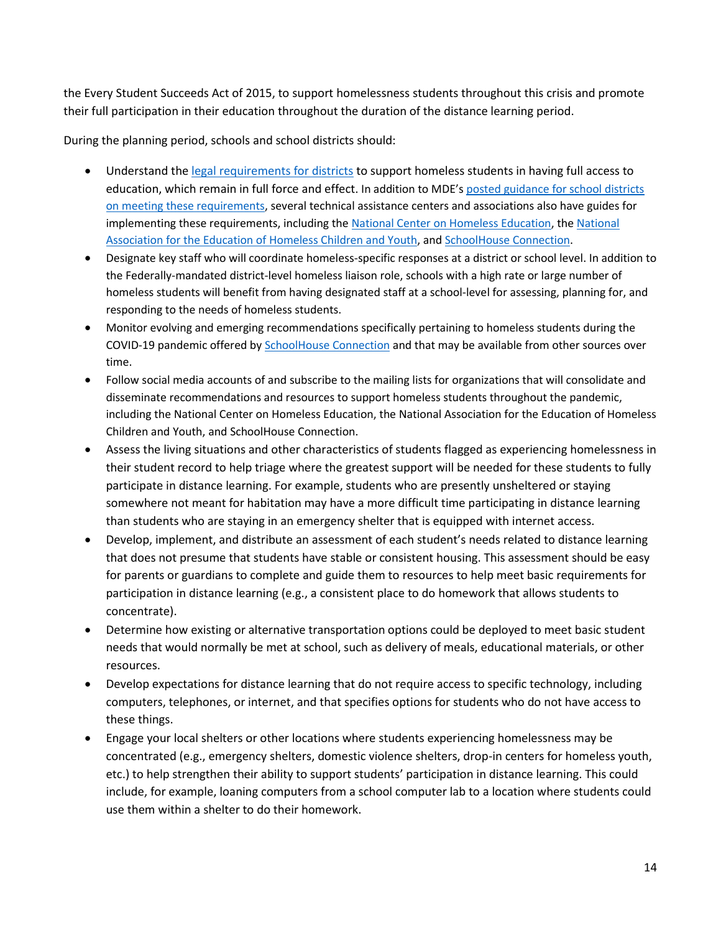the Every Student Succeeds Act of 2015, to support homelessness students throughout this crisis and promote their full participation in their education throughout the duration of the distance learning period.

During the planning period, schools and school districts should:

- Understand th[e legal requirements for districts](http://www2.ed.gov/policy/elsec/leg/esea02/pg116.html) to support homeless students in having full access to education, which remain in full force and effect. In addition to MDE's [posted guidance for school districts](https://education.mn.gov/MDE/dse/ESEA/home/)  [on meeting these requirements,](https://education.mn.gov/MDE/dse/ESEA/home/) several technical assistance centers and associations also have guides for implementing these requirements, including th[e National Center on Homeless Education,](https://nche.ed.gov/homeless-liaison-toolkit/) th[e National](https://naehcy.org/essa/)  [Association for the Education of Homeless Children and Youth,](https://naehcy.org/essa/) and [SchoolHouse Connection.](https://www.schoolhouseconnection.org/mckinney-vento-act-two-page-summary/)
- Designate key staff who will coordinate homeless-specific responses at a district or school level. In addition to the Federally-mandated district-level homeless liaison role, schools with a high rate or large number of homeless students will benefit from having designated staff at a school-level for assessing, planning for, and responding to the needs of homeless students.
- Monitor evolving and emerging recommendations specifically pertaining to homeless students during the COVID-19 pandemic offered by [SchoolHouse Connection](https://www.schoolhouseconnection.org/covid19-and-homelessness/) and that may be available from other sources over time.
- Follow social media accounts of and subscribe to the mailing lists for organizations that will consolidate and disseminate recommendations and resources to support homeless students throughout the pandemic, including the National Center on Homeless Education, the National Association for the Education of Homeless Children and Youth, and SchoolHouse Connection.
- Assess the living situations and other characteristics of students flagged as experiencing homelessness in their student record to help triage where the greatest support will be needed for these students to fully participate in distance learning. For example, students who are presently unsheltered or staying somewhere not meant for habitation may have a more difficult time participating in distance learning than students who are staying in an emergency shelter that is equipped with internet access.
- Develop, implement, and distribute an assessment of each student's needs related to distance learning that does not presume that students have stable or consistent housing. This assessment should be easy for parents or guardians to complete and guide them to resources to help meet basic requirements for participation in distance learning (e.g., a consistent place to do homework that allows students to concentrate).
- Determine how existing or alternative transportation options could be deployed to meet basic student needs that would normally be met at school, such as delivery of meals, educational materials, or other resources.
- Develop expectations for distance learning that do not require access to specific technology, including computers, telephones, or internet, and that specifies options for students who do not have access to these things.
- Engage your local shelters or other locations where students experiencing homelessness may be concentrated (e.g., emergency shelters, domestic violence shelters, drop-in centers for homeless youth, etc.) to help strengthen their ability to support students' participation in distance learning. This could include, for example, loaning computers from a school computer lab to a location where students could use them within a shelter to do their homework.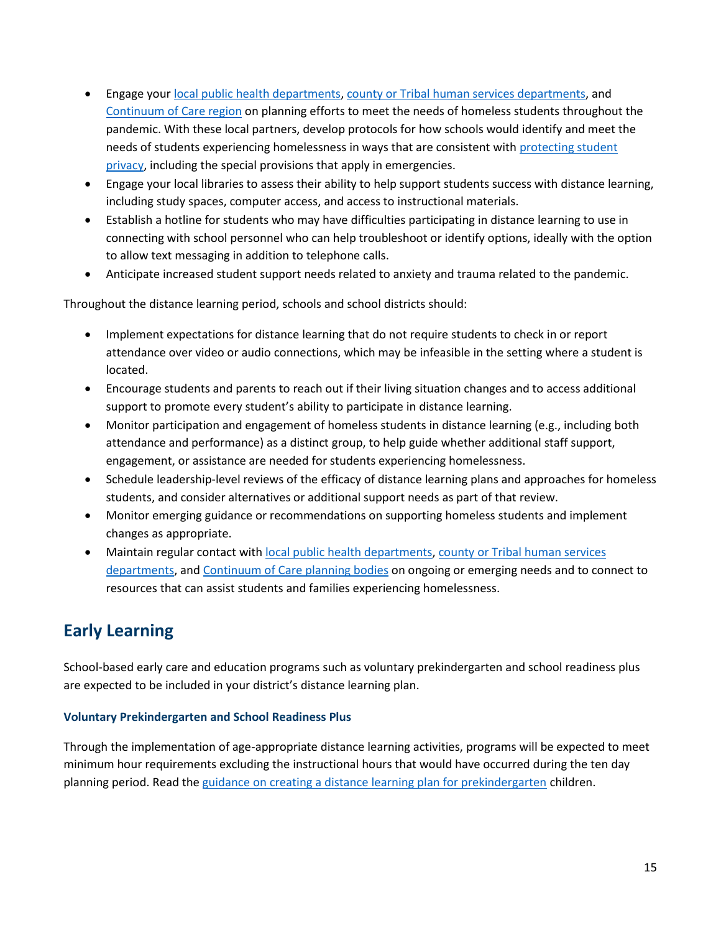- Engage you[r local public health departments,](https://www.health.state.mn.us/communities/practice/connect/findlph.html) [county or Tribal human services departments,](https://mn.gov/dhs/general-public/about-dhs/contact-us/counties-and-regional-offices/) and [Continuum of Care region](https://www.hud.gov/states/minnesota/homeless/mnccc) on planning efforts to meet the needs of homeless students throughout the pandemic. With these local partners, develop protocols for how schools would identify and meet the needs of students experiencing homelessness in ways that are consistent with [protecting student](https://studentprivacy.ed.gov/sites/default/files/resource_document/file/FERPA%20and%20Coronavirus%20Frequently%20Asked%20Questions.pdf)  [privacy,](https://studentprivacy.ed.gov/sites/default/files/resource_document/file/FERPA%20and%20Coronavirus%20Frequently%20Asked%20Questions.pdf) including the special provisions that apply in emergencies.
- Engage your local libraries to assess their ability to help support students success with distance learning, including study spaces, computer access, and access to instructional materials.
- Establish a hotline for students who may have difficulties participating in distance learning to use in connecting with school personnel who can help troubleshoot or identify options, ideally with the option to allow text messaging in addition to telephone calls.
- Anticipate increased student support needs related to anxiety and trauma related to the pandemic.

Throughout the distance learning period, schools and school districts should:

- Implement expectations for distance learning that do not require students to check in or report attendance over video or audio connections, which may be infeasible in the setting where a student is located.
- Encourage students and parents to reach out if their living situation changes and to access additional support to promote every student's ability to participate in distance learning.
- Monitor participation and engagement of homeless students in distance learning (e.g., including both attendance and performance) as a distinct group, to help guide whether additional staff support, engagement, or assistance are needed for students experiencing homelessness.
- Schedule leadership-level reviews of the efficacy of distance learning plans and approaches for homeless students, and consider alternatives or additional support needs as part of that review.
- Monitor emerging guidance or recommendations on supporting homeless students and implement changes as appropriate.
- Maintain regular contact with [local public health departments,](https://www.health.state.mn.us/communities/practice/connect/findlph.html) [county or Tribal human services](https://mn.gov/dhs/general-public/about-dhs/contact-us/counties-and-regional-offices/)  [departments,](https://mn.gov/dhs/general-public/about-dhs/contact-us/counties-and-regional-offices/) an[d Continuum of Care planning bodies](https://www.hud.gov/states/minnesota/homeless/mnccc) on ongoing or emerging needs and to connect to resources that can assist students and families experiencing homelessness.

### <span id="page-14-0"></span>**Early Learning**

School-based early care and education programs such as voluntary prekindergarten and school readiness plus are expected to be included in your district's distance learning plan.

#### **Voluntary Prekindergarten and School Readiness Plus**

Through the implementation of age-appropriate distance learning activities, programs will be expected to meet minimum hour requirements excluding the instructional hours that would have occurred during the ten day planning period. Read the [guidance on creating a distance learning plan for prekindergarten](https://education.mn.gov/mdeprod/idcplg?IdcService=GET_FILE&dDocName=mde032071&RevisionSelectionMethod=latestReleased&Rendition=primary) children.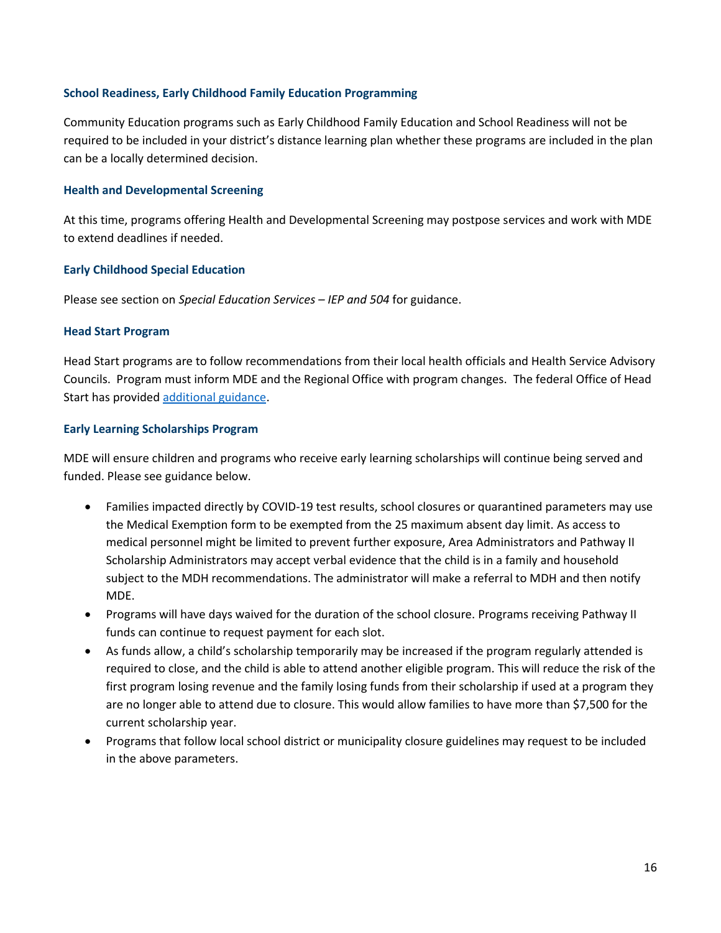#### **School Readiness, Early Childhood Family Education Programming**

Community Education programs such as Early Childhood Family Education and School Readiness will not be required to be included in your district's distance learning plan whether these programs are included in the plan can be a locally determined decision.

#### **Health and Developmental Screening**

At this time, programs offering Health and Developmental Screening may postpose services and work with MDE to extend deadlines if needed.

#### **Early Childhood Special Education**

Please see section on *Special Education Services – IEP and 504* for guidance.

#### **Head Start Program**

Head Start programs are to follow recommendations from their local health officials and Health Service Advisory Councils. Program must inform MDE and the Regional Office with program changes. The federal Office of Head Start has provided [additional guidance.](https://eclkc.ohs.acf.hhs.gov/physical-health/article/coronavirus-prevention-response)

#### **Early Learning Scholarships Program**

MDE will ensure children and programs who receive early learning scholarships will continue being served and funded. Please see guidance below.

- Families impacted directly by COVID-19 test results, school closures or quarantined parameters may use the Medical Exemption form to be exempted from the 25 maximum absent day limit. As access to medical personnel might be limited to prevent further exposure, Area Administrators and Pathway II Scholarship Administrators may accept verbal evidence that the child is in a family and household subject to the MDH recommendations. The administrator will make a referral to MDH and then notify MDE.
- Programs will have days waived for the duration of the school closure. Programs receiving Pathway II funds can continue to request payment for each slot.
- As funds allow, a child's scholarship temporarily may be increased if the program regularly attended is required to close, and the child is able to attend another eligible program. This will reduce the risk of the first program losing revenue and the family losing funds from their scholarship if used at a program they are no longer able to attend due to closure. This would allow families to have more than \$7,500 for the current scholarship year.
- Programs that follow local school district or municipality closure guidelines may request to be included in the above parameters.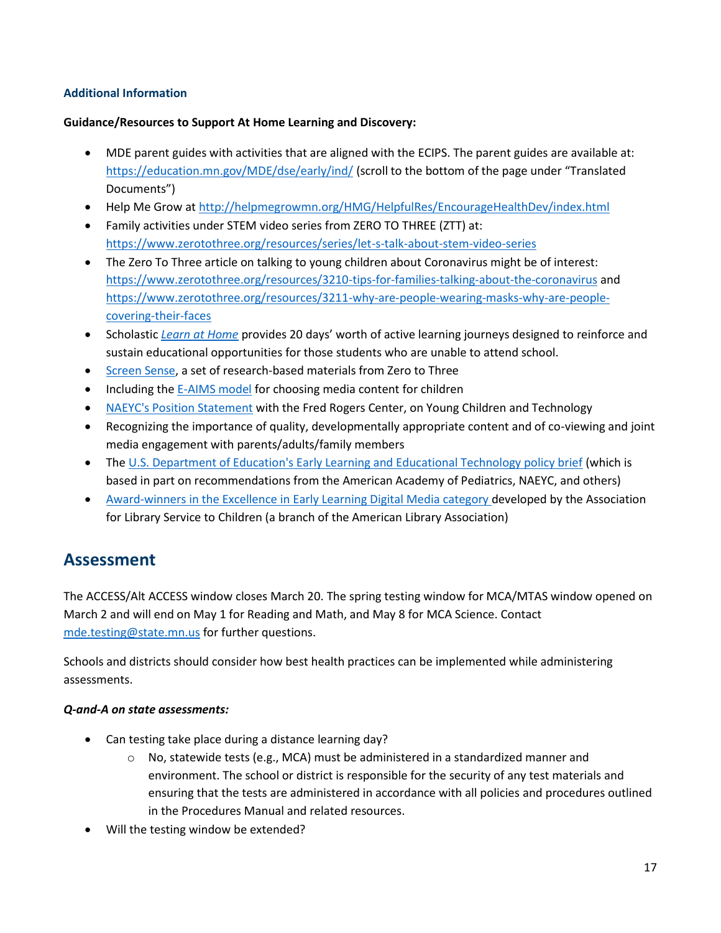#### **Additional Information**

#### **Guidance/Resources to Support At Home Learning and Discovery:**

- MDE parent guides with activities that are aligned with the ECIPS. The parent guides are available at: <https://education.mn.gov/MDE/dse/early/ind/> (scroll to the bottom of the page under "Translated Documents")
- Help Me Grow at [http://helpmegrowmn.org/HMG/HelpfulRes/EncourageHealthDev/index.html](https://gcc01.safelinks.protection.outlook.com/?url=http%3A%2F%2Fhelpmegrowmn.org%2FHMG%2FHelpfulRes%2FEncourageHealthDev%2Findex.html&data=02%7C01%7Cbobbie.burnham%40state.mn.us%7C0c598f58bfcf49db9b3b08d7c796d7bc%7Ceb14b04624c445198f26b89c2159828c%7C0%7C0%7C637197322981338740&sdata=RXOushjFWZwkU%2FtNqUV54cxhyjbM1cUpEZsIieYeQ2Y%3D&reserved=0)
- Family activities under STEM video series from ZERO TO THREE (ZTT) at: [https://www.zerotothree.org/resources/series/let-s-talk-about-stem-video-series](https://gcc01.safelinks.protection.outlook.com/?url=https%3A%2F%2Fwww.zerotothree.org%2Fresources%2Fseries%2Flet-s-talk-about-stem-video-series&data=02%7C01%7Cbobbie.burnham%40state.mn.us%7C0c598f58bfcf49db9b3b08d7c796d7bc%7Ceb14b04624c445198f26b89c2159828c%7C0%7C0%7C637197322981348700&sdata=zNOAt%2FWV6Lnt%2FURJY8VkxlpWridTpQP0Ghw%2FSln33q8%3D&reserved=0)
- The Zero To Three article on talking to young children about Coronavirus might be of interest: [https://www.zerotothree.org/resources/3210-tips-for-families-talking-about-the-coronavirus](https://gcc01.safelinks.protection.outlook.com/?url=https%3A%2F%2Fwww.zerotothree.org%2Fresources%2F3210-tips-for-families-talking-about-the-coronavirus&data=02%7C01%7Cbobbie.burnham%40state.mn.us%7C0c598f58bfcf49db9b3b08d7c796d7bc%7Ceb14b04624c445198f26b89c2159828c%7C0%7C0%7C637197322981348700&sdata=Jqb13ukjx7Z3FPnysa%2B0ZYqriIdh78BaRf6buJIuPG8%3D&reserved=0) and [https://www.zerotothree.org/resources/3211-why-are-people-wearing-masks-why-are-people](https://gcc01.safelinks.protection.outlook.com/?url=https%3A%2F%2Fwww.zerotothree.org%2Fresources%2F3211-why-are-people-wearing-masks-why-are-people-covering-their-faces&data=02%7C01%7Cbobbie.burnham%40state.mn.us%7C0c598f58bfcf49db9b3b08d7c796d7bc%7Ceb14b04624c445198f26b89c2159828c%7C0%7C0%7C637197322981348700&sdata=qwXY4yDw4lYmOQqJUCZymjCx%2FLYItI4dc7Y3W5yr3gY%3D&reserved=0)[covering-their-faces](https://gcc01.safelinks.protection.outlook.com/?url=https%3A%2F%2Fwww.zerotothree.org%2Fresources%2F3211-why-are-people-wearing-masks-why-are-people-covering-their-faces&data=02%7C01%7Cbobbie.burnham%40state.mn.us%7C0c598f58bfcf49db9b3b08d7c796d7bc%7Ceb14b04624c445198f26b89c2159828c%7C0%7C0%7C637197322981348700&sdata=qwXY4yDw4lYmOQqJUCZymjCx%2FLYItI4dc7Y3W5yr3gY%3D&reserved=0)
- Scholastic *[Learn at Home](https://classroommagazines.scholastic.com/support/learnathome.html?caching)* provides 20 days' worth of active learning journeys designed to reinforce and sustain educational opportunities for those students who are unable to attend school.
- [Screen Sense,](https://gcc01.safelinks.protection.outlook.com/?url=https%3A%2F%2Fslack-redir.net%2Flink%3Furl%3Dhttps%253A%252F%252Fwww.zerotothree.org%252Fresources%252Fseries%252Fscreen-sense&data=02%7C01%7Cbobbie.burnham%40state.mn.us%7Cb832c8a69357497c261908d7c796f8c0%7Ceb14b04624c445198f26b89c2159828c%7C0%7C0%7C637197323534121878&sdata=ePx7UeEHpR086FH2YBDnj2tRbg8ziIoWJL4DH9lFkeY%3D&reserved=0) a set of research-based materials from Zero to Three
- Including the [E-AIMS model](https://gcc01.safelinks.protection.outlook.com/?url=https%3A%2F%2Fslack-redir.net%2Flink%3Furl%3Dhttps%253A%252F%252Fwww.zerotothree.org%252Fresources%252F2533-choosing-media-content-for-young-children-using-the-e-aims-model&data=02%7C01%7Cbobbie.burnham%40state.mn.us%7Cb832c8a69357497c261908d7c796f8c0%7Ceb14b04624c445198f26b89c2159828c%7C0%7C0%7C637197323534121878&sdata=oddYRJtEm3InymWLNZXxx8m8eTIzzdKeqGlXGdWqfDU%3D&reserved=0) for choosing media content for children
- [NAEYC's Position Statement](https://gcc01.safelinks.protection.outlook.com/?url=https%3A%2F%2Fslack-redir.net%2Flink%3Furl%3Dhttps%253A%252F%252Fwww.naeyc.org%252Fresources%252Ftopics%252Ftechnology-and-media&data=02%7C01%7Cbobbie.burnham%40state.mn.us%7Cb832c8a69357497c261908d7c796f8c0%7Ceb14b04624c445198f26b89c2159828c%7C0%7C0%7C637197323534121878&sdata=9%2Fw0MvGuHjfaQ0fze%2FUgPqaeuozJyg4gRb8xwG2s1TY%3D&reserved=0) with the Fred Rogers Center, on Young Children and Technology
- Recognizing the importance of quality, developmentally appropriate content and of co-viewing and joint media engagement with parents/adults/family members
- The [U.S. Department of Education's Early Learning and Educational Technology policy brief](https://gcc01.safelinks.protection.outlook.com/?url=https%3A%2F%2Fslack-redir.net%2Flink%3Furl%3Dhttps%253A%252F%252Ftech.ed.gov%252Fearlylearning%252F&data=02%7C01%7Cbobbie.burnham%40state.mn.us%7Cb832c8a69357497c261908d7c796f8c0%7Ceb14b04624c445198f26b89c2159828c%7C0%7C0%7C637197323534131839&sdata=uCN%2FOtNkeZ7Xlx1V9%2BZm9TjxzVYrvQ9o5Qk38vvg2oE%3D&reserved=0) (which is based in part on recommendations from the American Academy of Pediatrics, NAEYC, and others)
- [Award-winners in the Excellence in Early Learning Digital Media category](https://gcc01.safelinks.protection.outlook.com/?url=https%3A%2F%2Fslack-redir.net%2Flink%3Furl%3Dhttp%253A%252F%252Fwww.ala.org%252Falsc%252Fexcellence-early-learning-digital-media-award-2019-winners&data=02%7C01%7Cbobbie.burnham%40state.mn.us%7Cb832c8a69357497c261908d7c796f8c0%7Ceb14b04624c445198f26b89c2159828c%7C0%7C0%7C637197323534141795&sdata=vgh%2Bnak%2BLiypMy%2B67zrZyFaZhx92xjuvJNbydj7kaeE%3D&reserved=0) developed by the Association for Library Service to Children (a branch of the American Library Association)

### <span id="page-16-0"></span>**Assessment**

The ACCESS/Alt ACCESS window closes March 20. The spring testing window for MCA/MTAS window opened on March 2 and will end on May 1 for Reading and Math, and May 8 for MCA Science. Contact [mde.testing@state.mn.us](mailto:mde.testing@state.mn.us) for further questions.

Schools and districts should consider how best health practices can be implemented while administering assessments.

#### *Q-and-A on state assessments:*

- Can testing take place during a distance learning day?
	- $\circ$  No, statewide tests (e.g., MCA) must be administered in a standardized manner and environment. The school or district is responsible for the security of any test materials and ensuring that the tests are administered in accordance with all policies and procedures outlined in the Procedures Manual and related resources.
- Will the testing window be extended?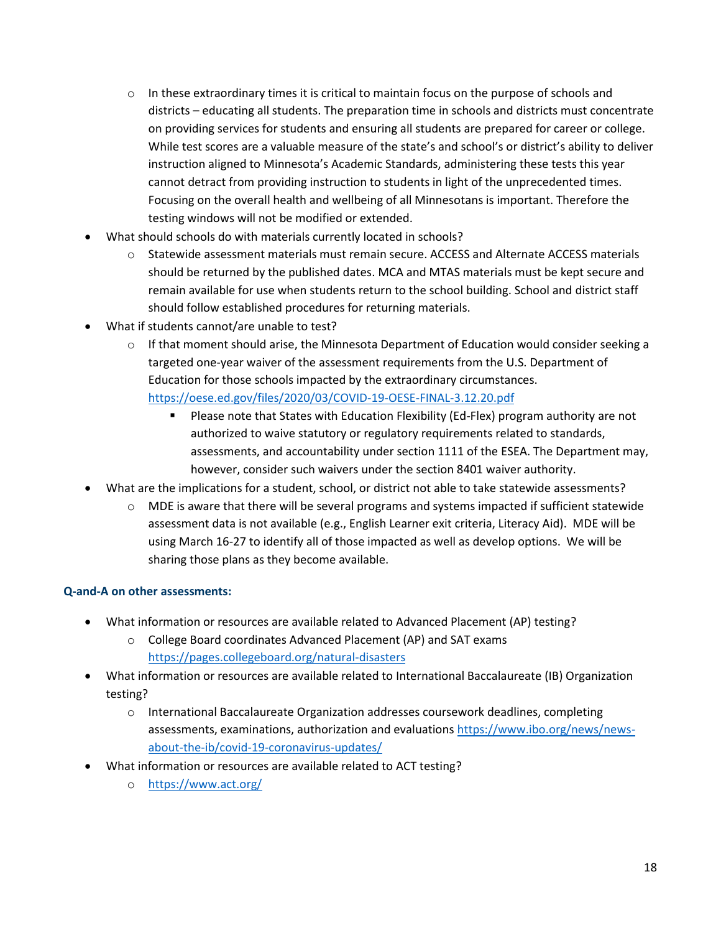- $\circ$  In these extraordinary times it is critical to maintain focus on the purpose of schools and districts – educating all students. The preparation time in schools and districts must concentrate on providing services for students and ensuring all students are prepared for career or college. While test scores are a valuable measure of the state's and school's or district's ability to deliver instruction aligned to Minnesota's Academic Standards, administering these tests this year cannot detract from providing instruction to students in light of the unprecedented times. Focusing on the overall health and wellbeing of all Minnesotans is important. Therefore the testing windows will not be modified or extended.
- What should schools do with materials currently located in schools?
	- o Statewide assessment materials must remain secure. ACCESS and Alternate ACCESS materials should be returned by the published dates. MCA and MTAS materials must be kept secure and remain available for use when students return to the school building. School and district staff should follow established procedures for returning materials.
- What if students cannot/are unable to test?
	- $\circ$  If that moment should arise, the Minnesota Department of Education would consider seeking a targeted one-year waiver of the assessment requirements from the U.S. Department of Education for those schools impacted by the extraordinary circumstances. <https://oese.ed.gov/files/2020/03/COVID-19-OESE-FINAL-3.12.20.pdf>
		- Please note that States with Education Flexibility (Ed-Flex) program authority are not authorized to waive statutory or regulatory requirements related to standards, assessments, and accountability under section 1111 of the ESEA. The Department may, however, consider such waivers under the section 8401 waiver authority.
- What are the implications for a student, school, or district not able to take statewide assessments?
	- $\circ$  MDE is aware that there will be several programs and systems impacted if sufficient statewide assessment data is not available (e.g., English Learner exit criteria, Literacy Aid). MDE will be using March 16-27 to identify all of those impacted as well as develop options. We will be sharing those plans as they become available.

#### **Q-and-A on other assessments:**

- What information or resources are available related to Advanced Placement (AP) testing?
	- o College Board coordinates Advanced Placement (AP) and SAT exams <https://pages.collegeboard.org/natural-disasters>
- What information or resources are available related to International Baccalaureate (IB) Organization testing?
	- $\circ$  International Baccalaureate Organization addresses coursework deadlines, completing assessments, examinations, authorization and evaluations [https://www.ibo.org/news/news](https://www.ibo.org/news/news-about-the-ib/covid-19-coronavirus-updates/)[about-the-ib/covid-19-coronavirus-updates/](https://www.ibo.org/news/news-about-the-ib/covid-19-coronavirus-updates/)
- What information or resources are available related to ACT testing?
	- o <https://www.act.org/>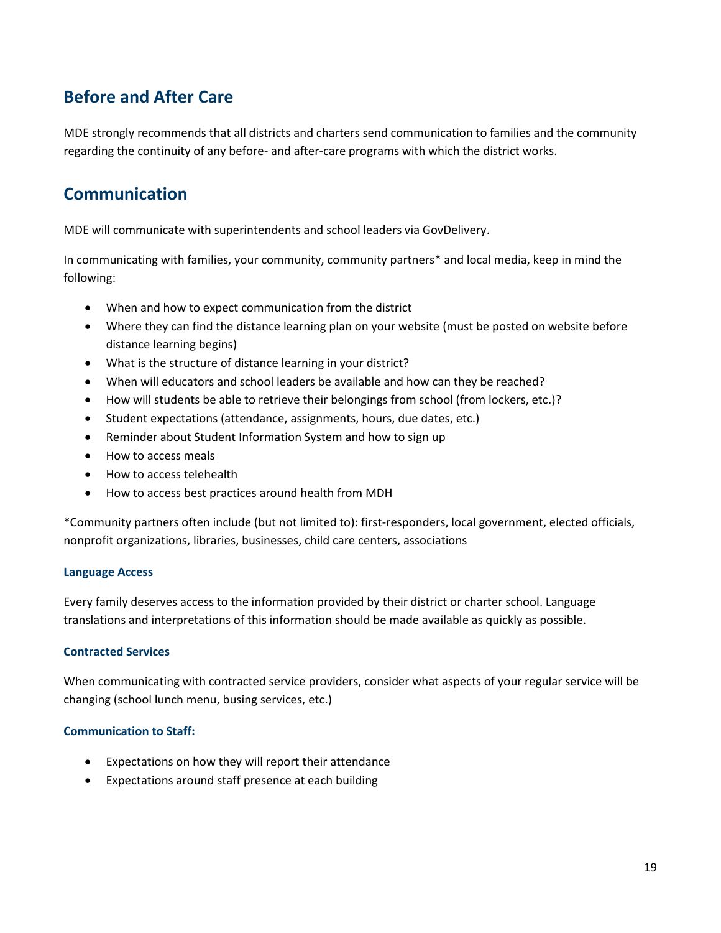# <span id="page-18-0"></span>**Before and After Care**

MDE strongly recommends that all districts and charters send communication to families and the community regarding the continuity of any before- and after-care programs with which the district works.

### <span id="page-18-1"></span>**Communication**

MDE will communicate with superintendents and school leaders via GovDelivery.

In communicating with families, your community, community partners\* and local media, keep in mind the following:

- When and how to expect communication from the district
- Where they can find the distance learning plan on your website (must be posted on website before distance learning begins)
- What is the structure of distance learning in your district?
- When will educators and school leaders be available and how can they be reached?
- How will students be able to retrieve their belongings from school (from lockers, etc.)?
- Student expectations (attendance, assignments, hours, due dates, etc.)
- Reminder about Student Information System and how to sign up
- How to access meals
- How to access telehealth
- How to access best practices around health from MDH

\*Community partners often include (but not limited to): first-responders, local government, elected officials, nonprofit organizations, libraries, businesses, child care centers, associations

#### **Language Access**

Every family deserves access to the information provided by their district or charter school. Language translations and interpretations of this information should be made available as quickly as possible.

#### **Contracted Services**

When communicating with contracted service providers, consider what aspects of your regular service will be changing (school lunch menu, busing services, etc.)

#### **Communication to Staff:**

- Expectations on how they will report their attendance
- Expectations around staff presence at each building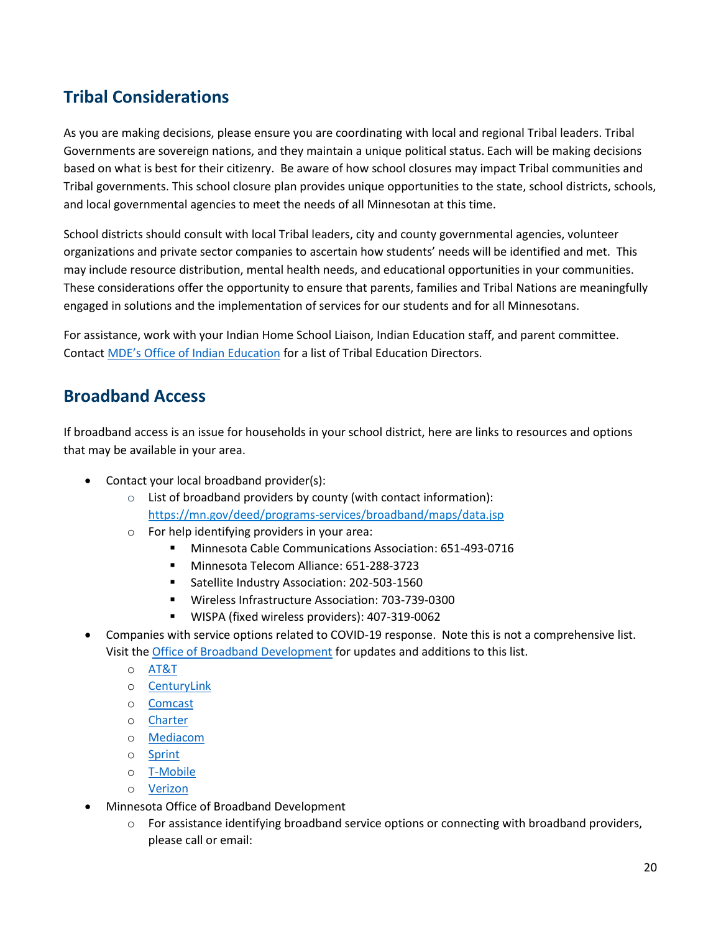# <span id="page-19-0"></span>**Tribal Considerations**

As you are making decisions, please ensure you are coordinating with local and regional Tribal leaders. Tribal Governments are sovereign nations, and they maintain a unique political status. Each will be making decisions based on what is best for their citizenry. Be aware of how school closures may impact Tribal communities and Tribal governments. This school closure plan provides unique opportunities to the state, school districts, schools, and local governmental agencies to meet the needs of all Minnesotan at this time.

School districts should consult with local Tribal leaders, city and county governmental agencies, volunteer organizations and private sector companies to ascertain how students' needs will be identified and met. This may include resource distribution, mental health needs, and educational opportunities in your communities. These considerations offer the opportunity to ensure that parents, families and Tribal Nations are meaningfully engaged in solutions and the implementation of services for our students and for all Minnesotans.

For assistance, work with your Indian Home School Liaison, Indian Education staff, and parent committee. Contact [MDE's Office of Indian Education](mailto:mde.indian-education@state.mn.us) for a list of Tribal Education Directors.

### <span id="page-19-1"></span>**Broadband Access**

If broadband access is an issue for households in your school district, here are links to resources and options that may be available in your area.

- Contact your local broadband provider(s):
	- o List of broadband providers by county (with contact information): <https://mn.gov/deed/programs-services/broadband/maps/data.jsp>
	- o For help identifying providers in your area:
		- Minnesota Cable Communications Association: 651-493-0716
		- **Minnesota Telecom Alliance: 651-288-3723**
		- **Satellite Industry Association: 202-503-1560**
		- Wireless Infrastructure Association: 703-739-0300
		- WISPA (fixed wireless providers): 407-319-0062
- Companies with service options related to COVID-19 response. Note this is not a comprehensive list. Visit the [Office of Broadband Development](https://mn.gov/deed/programs-services/broadband/) for updates and additions to this list.
	- o [AT&T](https://about.att.com/pages/COVID-19.html)
	- o [CenturyLink](https://www.centurylink.com/home/)
	- o [Comcast](https://corporate.comcast.com/press/releases/internet-essentials-low-income-broadband-coronavirus-pandemic)
	- o [Charter](https://corporate.charter.com/newsroom/charter-to-offer-free-access-to-spectrum-broadband-and-wifi-for-60-days-for-new-K12-and-college-student-households-and-more)
	- o [Mediacom](https://www.mediacomcable.com/)
	- o [Sprint](https://newsroom.sprint.com/covid-19-updates-sprint-responds.htm)
	- o [T-Mobile](https://www.t-mobile.com/news/t-mobile-update-on-covid-19-response)
	- o [Verizon](https://www.verizon.com/about/news/our-response-coronavirus)
- [Minnesota Office of Broadband Development](https://mn.gov/deed/programs-services/broadband/)
	- $\circ$  For assistance identifying broadband service options or connecting with broadband providers, please call or email: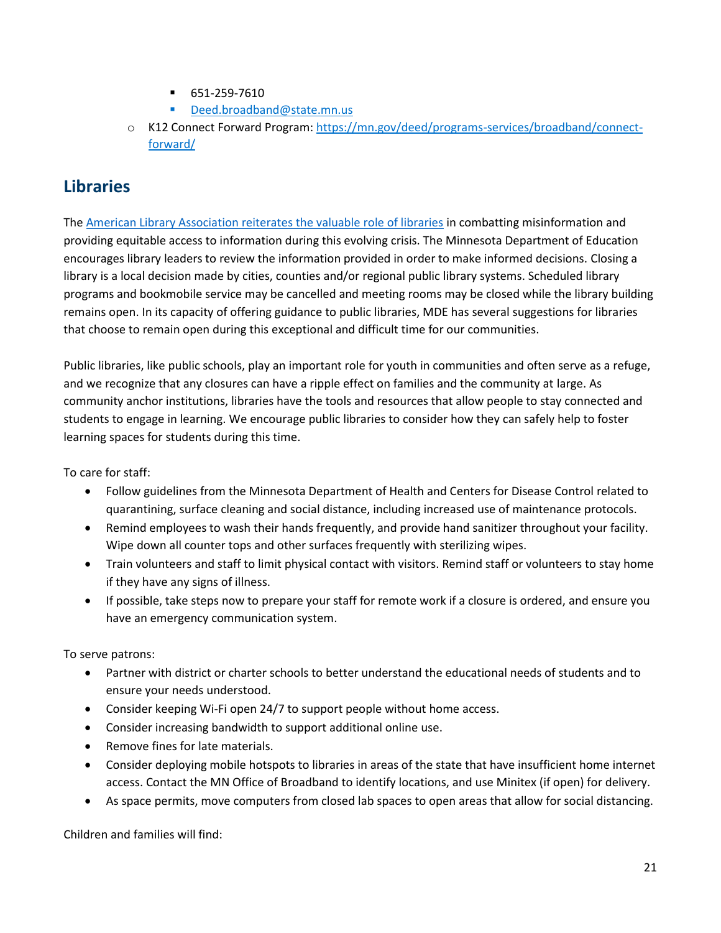- 651-259-7610
- [Deed.broadband@state.mn.us](mailto:Deed.broadband@state.mn.us)
- o K12 Connect Forward Program[: https://mn.gov/deed/programs-services/broadband/connect](https://mn.gov/deed/programs-services/broadband/connect-forward/)[forward/](https://mn.gov/deed/programs-services/broadband/connect-forward/)

### <span id="page-20-0"></span>**Libraries**

The [American Library Association reiterates the valuable role of libraries](https://americanlibrariesmagazine.org/blogs/the-scoop/ala-statement-covid-19/) in combatting misinformation and providing equitable access to information during this evolving crisis. The Minnesota Department of Education encourages library leaders to review the information provided in order to make informed decisions. Closing a library is a local decision made by cities, counties and/or regional public library systems. Scheduled library programs and bookmobile service may be cancelled and meeting rooms may be closed while the library building remains open. In its capacity of offering guidance to public libraries, MDE has several suggestions for libraries that choose to remain open during this exceptional and difficult time for our communities.

Public libraries, like public schools, play an important role for youth in communities and often serve as a refuge, and we recognize that any closures can have a ripple effect on families and the community at large. As community anchor institutions, libraries have the tools and resources that allow people to stay connected and students to engage in learning. We encourage public libraries to consider how they can safely help to foster learning spaces for students during this time.

To care for staff:

- Follow guidelines from the Minnesota Department of Health and Centers for Disease Control related to quarantining, surface cleaning and social distance, including increased use of maintenance protocols.
- Remind employees to wash their hands frequently, and provide hand sanitizer throughout your facility. Wipe down all counter tops and other surfaces frequently with sterilizing wipes.
- Train volunteers and staff to limit physical contact with visitors. Remind staff or volunteers to stay home if they have any signs of illness.
- If possible, take steps now to prepare your staff for remote work if a closure is ordered, and ensure you have an emergency communication system.

To serve patrons:

- Partner with district or charter schools to better understand the educational needs of students and to ensure your needs understood.
- Consider keeping Wi-Fi open 24/7 to support people without home access.
- Consider increasing bandwidth to support additional online use.
- Remove fines for late materials.
- Consider deploying mobile hotspots to libraries in areas of the state that have insufficient home internet access. Contact the MN Office of Broadband to identify locations, and use Minitex (if open) for delivery.
- As space permits, move computers from closed lab spaces to open areas that allow for social distancing.

Children and families will find: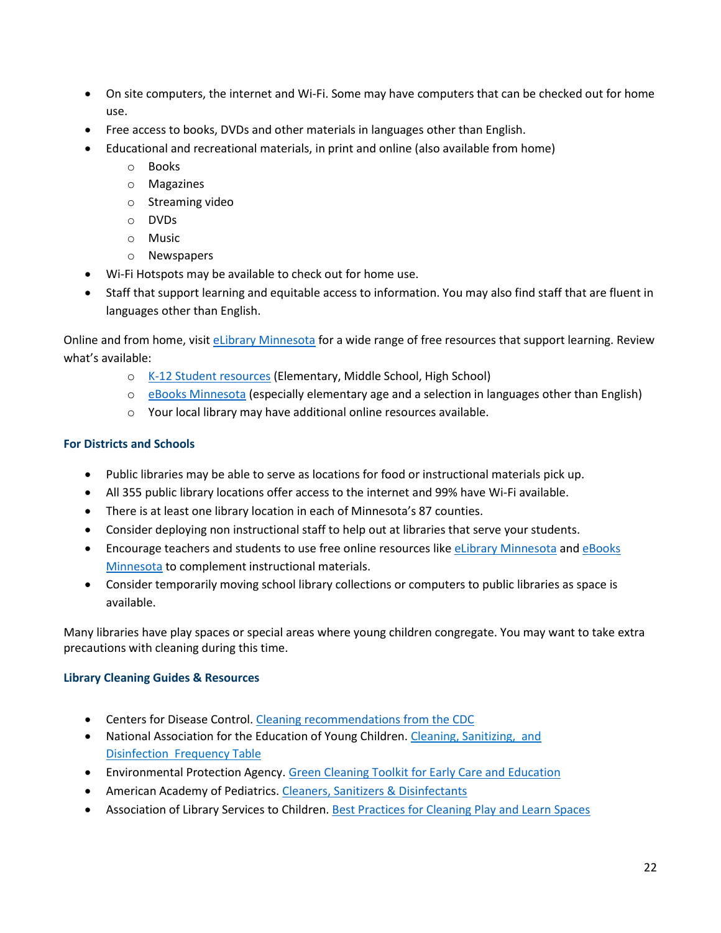- On site computers, the internet and Wi-Fi. Some may have computers that can be checked out for home use.
- Free access to books, DVDs and other materials in languages other than English.
- Educational and recreational materials, in print and online (also available from home)
	- o Books
	- o Magazines
	- o Streaming video
	- o DVDs
	- o Music
	- o Newspapers
- Wi-Fi Hotspots may be available to check out for home use.
- Staff that support learning and equitable access to information. You may also find staff that are fluent in languages other than English.

Online and from home, visit [eLibrary Minnesota](https://elibrarymn.org/) for a wide range of free resources that support learning. Review what's available:

- o [K-12 Student resources](https://elibrarymn.org/student) (Elementary, Middle School, High School)
- o [eBooks Minnesota](https://elibrarymn.org/ebooks) (especially elementary age and a selection in languages other than English)
- o Your local library may have additional online resources available.

#### **For Districts and Schools**

- Public libraries may be able to serve as locations for food or instructional materials pick up.
- All 355 public library locations offer access to the internet and 99% have Wi-Fi available.
- There is at least one library location in each of Minnesota's 87 counties.
- Consider deploying non instructional staff to help out at libraries that serve your students.
- **Encourage teachers and students to use free online resources like [eLibrary Minnesota](https://elibrarymn.org/) and eBooks** [Minnesota](https://elibrarymn.org/ebooks) to complement instructional materials.
- Consider temporarily moving school library collections or computers to public libraries as space is available.

Many libraries have play spaces or special areas where young children congregate. You may want to take extra precautions with cleaning during this time.

#### **Library Cleaning Guides & Resources**

- Centers for Disease Control[. Cleaning recommendations from the CDC](https://www.cdc.gov/coronavirus/2019-ncov/community/home/cleaning-disinfection.html)
- National Association for the Education of Young Children. [Cleaning, Sanitizing,](https://gcc01.safelinks.protection.outlook.com/?url=http%3A%2F%2Fclicks.memberclicks-mail.net%2Fls%2Fclick%3Fupn%3DORsPaTWjLgyAnrJKFwYRsFXqaKCbpR0L35k1DmRe8587b-2BmUVAdCNN66scLDUaovah2NsI4UJ-2F3bZ3IrURb1s5iV0nAG2G2-2BnxxDVFNRvCkBiCef40M6Cn7qMOpq4va7GXvy6Zyl3ril6OB19yr096CIEezPy2ggbjZpFxJ6qOlOW0k04sgbmBupBHxnd24TFzGwexX-2BW0C1QmIHstXMHLOCzyz55Z7NT-2FZ-2Fp3-2Bvo3a1HDohFrZV8HnHLeiulaVy3LHO2gBkYuFXwiAl-2F-2BGUajBMNk3Zd-2FmgoYhamXxPPnEtdMIOowjcO-2FxCNpFdseNnaxBMTLKTVMDJNnbj6EQDyhlZIBGYW5yO6-2Fb6xFkXQcQeEPfO38Bdvb0lk5n-2BjnY2C8Y9-2FNnTUgwpKxkhPC0DSQ-3D-3DHgKg_jrUqf5zwH7FzSx1F7hMR7yZr3Ub5F3BY-2FIhbxIMQoNtJJ1YJiFp-2BR78AUvIt-2FyAx-2FFgxwxIzqWtLxYMdBQz82QBaVa0NyYhCyBI8xccXR8D3XUPya5L2EAIlW6KpsT7o4sCG1Qvi1VDmlY24L0NSLtzhE727xdgBCOhPwxTRwbj3WqUT83llRET2R6MmGLF1z5R-2F-2FhR80AwUcGnOdGUpI4UtFeaeq-2B-2F14vpKxB-2BCi3wJYUkiuoXLv5-2FkwoytBI437de-2BnVja6DEsRj3MN7egSZSf87KJ-2Fp5lvqAs3gOQKVGkDcuOht7vcq1LE2sLQ-2Bfj0VSJKcSwSVeen-2FUVtyglmEmKacNhxdP-2Fuy-2F0CuCsTNY-3D&data=02%7C01%7Cjennifer.r.nelson%40state.mn.us%7Cccc911f8a31a4627416e08d7c5f5672e%7Ceb14b04624c445198f26b89c2159828c%7C0%7C0%7C637195530102942059&sdata=Eocrw3BfveOogKlMlanX5if1eVlC3Do6PVQc8HUeVwY%3D&reserved=0) and Disinfection [Frequency Table](https://gcc01.safelinks.protection.outlook.com/?url=http%3A%2F%2Fclicks.memberclicks-mail.net%2Fls%2Fclick%3Fupn%3DORsPaTWjLgyAnrJKFwYRsFXqaKCbpR0L35k1DmRe8587b-2BmUVAdCNN66scLDUaovah2NsI4UJ-2F3bZ3IrURb1s5iV0nAG2G2-2BnxxDVFNRvCkBiCef40M6Cn7qMOpq4va7GXvy6Zyl3ril6OB19yr096CIEezPy2ggbjZpFxJ6qOlOW0k04sgbmBupBHxnd24TFzGwexX-2BW0C1QmIHstXMHLOCzyz55Z7NT-2FZ-2Fp3-2Bvo3a1HDohFrZV8HnHLeiulaVy3LHO2gBkYuFXwiAl-2F-2BGUajBMNk3Zd-2FmgoYhamXxPPnEtdMIOowjcO-2FxCNpFdseNnaxBMTLKTVMDJNnbj6EQDyhlZIBGYW5yO6-2Fb6xFkXQcQeEPfO38Bdvb0lk5n-2BjnY2C8Y9-2FNnTUgwpKxkhPC0DSQ-3D-3DHgKg_jrUqf5zwH7FzSx1F7hMR7yZr3Ub5F3BY-2FIhbxIMQoNtJJ1YJiFp-2BR78AUvIt-2FyAx-2FFgxwxIzqWtLxYMdBQz82QBaVa0NyYhCyBI8xccXR8D3XUPya5L2EAIlW6KpsT7o4sCG1Qvi1VDmlY24L0NSLtzhE727xdgBCOhPwxTRwbj3WqUT83llRET2R6MmGLF1z5R-2F-2FhR80AwUcGnOdGUpI4UtFeaeq-2B-2F14vpKxB-2BCi3wJYUkiuoXLv5-2FkwoytBI437de-2BnVja6DEsRj3MN7egSZSf87KJ-2Fp5lvqAs3gOQKVGkDcuOht7vcq1LE2sLQ-2Bfj0VSJKcSwSVeen-2FUVtyglmEmKacNhxdP-2Fuy-2F0CuCsTNY-3D&data=02%7C01%7Cjennifer.r.nelson%40state.mn.us%7Cccc911f8a31a4627416e08d7c5f5672e%7Ceb14b04624c445198f26b89c2159828c%7C0%7C0%7C637195530102942059&sdata=Eocrw3BfveOogKlMlanX5if1eVlC3Do6PVQc8HUeVwY%3D&reserved=0)
- Environmental Protection Agency. [Green Cleaning Toolkit for Early Care and Education](https://gcc01.safelinks.protection.outlook.com/?url=http%3A%2F%2Fclicks.memberclicks-mail.net%2Fls%2Fclick%3Fupn%3DORsPaTWjLgyAnrJKFwYRsCMrqDZmJuEw8EWxgbgR2tZCgdwGl4D5LxoOTdw6goNpj8EJQVYKRoxkqgIE4KIRqeXpTq41SrofmlW66xNHNq48adv7Be9V1WFCoDETv2IX1XrY_jrUqf5zwH7FzSx1F7hMR7yZr3Ub5F3BY-2FIhbxIMQoNtJJ1YJiFp-2BR78AUvIt-2FyAx-2FFgxwxIzqWtLxYMdBQz82QBaVa0NyYhCyBI8xccXR8D3XUPya5L2EAIlW6KpsT7o4sCG1Qvi1VDmlY24L0NSLtzhE727xdgBCOhPwxTRwbj3WqUT83llRET2R6MmGLF1SDMDWqh-2BufgwVqgZfEUER-2BMsdNhl0erDbHpm-2BWSDJEKSTsjT145oDY6fHIKuwfXR2aBWbK-2FSSZo7oikwFdGPh8-2B1QzV5chrVgIBdIVAydCChXs1lahrqSNK149btREqCqXp99G9cdG6LYn28TBq7q3gUIlqMJzMNeG-2B9Bu8fGPY-3D&data=02%7C01%7Cjennifer.r.nelson%40state.mn.us%7Cccc911f8a31a4627416e08d7c5f5672e%7Ceb14b04624c445198f26b89c2159828c%7C0%7C0%7C637195530102942059&sdata=yVaCRAIKtWGcxabb%2FtieuR0gjzHrTc0tN5KPWC9DTRg%3D&reserved=0)
- American Academy of Pediatrics[. Cleaners, Sanitizers & Disinfectants](https://gcc01.safelinks.protection.outlook.com/?url=http%3A%2F%2Fclicks.memberclicks-mail.net%2Fls%2Fclick%3Fupn%3DORsPaTWjLgyAnrJKFwYRsLYTCjnQMdV8Hsc6ihcbUNIIU2KDlF5ehsHMdGMB2FjreqnHkiB0oWvGpw4ikrrFrAvUqSnmtEuqIYMEnESWNBkk-2BpgwuACAfA5X52dvZFgxKXUEKzii685ta7kakyrlIofe7L8D4lmq-2FQd5x8FqcOTRzsxrVe7ehu0kRsKcZ8JqulKT_jrUqf5zwH7FzSx1F7hMR7yZr3Ub5F3BY-2FIhbxIMQoNtJJ1YJiFp-2BR78AUvIt-2FyAx-2FFgxwxIzqWtLxYMdBQz82QBaVa0NyYhCyBI8xccXR8D3XUPya5L2EAIlW6KpsT7o4sCG1Qvi1VDmlY24L0NSLtzhE727xdgBCOhPwxTRwbj3WqUT83llRET2R6MmGLF151gW9DbmLuZBKcjU6GJwtIX6343VW7NGyA-2Blc7vCbaN4mErB7jD5N5COoHa3xHkhbzPJEVMOiHzwZJERc-2FjAHFtHjStBCXfAO9omcbAM0KMprUmgkKwsoDy0IOZf18utn46D1O0LBF-2FuiY7FncRKkhCLzYm3e9D-2FtydRsK-2F1xzQ-3D&data=02%7C01%7Cjennifer.r.nelson%40state.mn.us%7Cccc911f8a31a4627416e08d7c5f5672e%7Ceb14b04624c445198f26b89c2159828c%7C0%7C0%7C637195530102942059&sdata=HCPVlbeZCJqvujxdZhSOk2dZCz1QImuSV5POvCRIMHU%3D&reserved=0)
- Association of Library Services to Children. [Best Practices for Cleaning Play and Learn Spaces](https://gcc01.safelinks.protection.outlook.com/?url=http%3A%2F%2Fclicks.memberclicks-mail.net%2Fls%2Fclick%3Fupn%3DORsPaTWjLgyAnrJKFwYRsP2X242E5Kq0Zn9fMid-2FAb4cPc-2B7dJLvU2ifhuc4jbCaaw2k2CWP8VrKJy1rLPMlvJe9k3jrPo8qugu6HI6BapjIAo9FtDH9oLJ5wEyoHrlxDqHP_jrUqf5zwH7FzSx1F7hMR7yZr3Ub5F3BY-2FIhbxIMQoNtJJ1YJiFp-2BR78AUvIt-2FyAx-2FFgxwxIzqWtLxYMdBQz82QBaVa0NyYhCyBI8xccXR8D3XUPya5L2EAIlW6KpsT7o4sCG1Qvi1VDmlY24L0NSLtzhE727xdgBCOhPwxTRwbj3WqUT83llRET2R6MmGLF1PTMEpffdcvASqmsCMJoHIz5ngQSy1IDL8QCWmfj-2Bv0f97m7I8PSF5VCI0g4k23qwcTTmzYWmyurmi2pTjqKhu8HolAEFbqIU6-2FjUkp1jf-2BOm-2FG4d8HlA-2BEP7-2B2LNlyQZ-2BpOpYBSpKOitGmD21CFqjoKdEWSaN2G87ijUguWUvn4-3D&data=02%7C01%7Cjennifer.r.nelson%40state.mn.us%7Cccc911f8a31a4627416e08d7c5f5672e%7Ceb14b04624c445198f26b89c2159828c%7C0%7C0%7C637195530102952014&sdata=dd5aMweBwiXDmzkSVyDBz%2FEAfCjnkEvBYu7PZNF3Xjg%3D&reserved=0)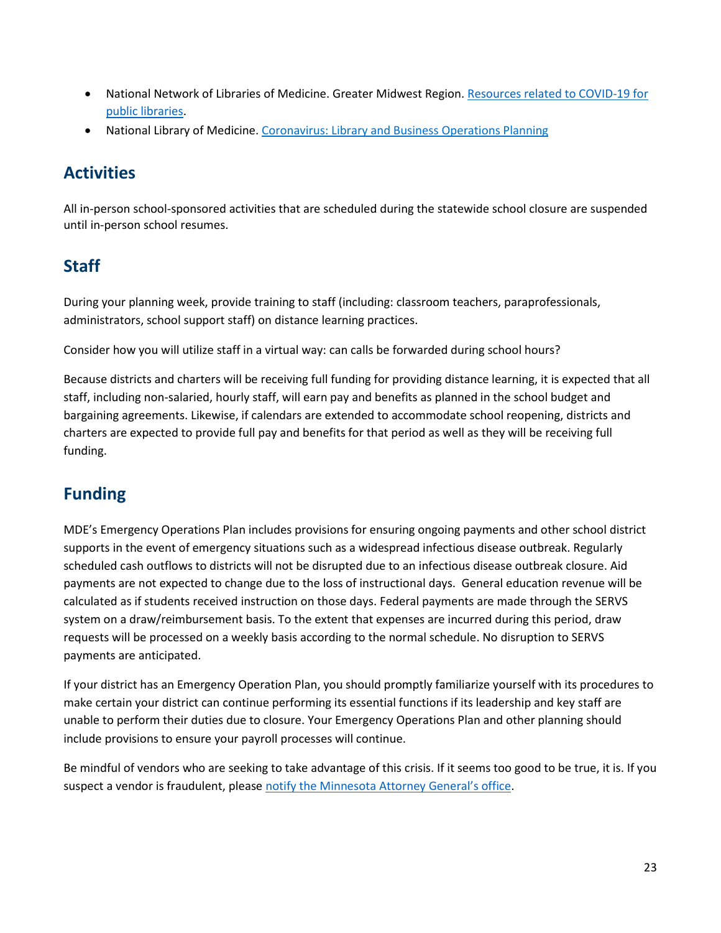- National Network of Libraries of Medicine. Greater Midwest Region. [Resources related to COVID-19 for](https://gcc01.safelinks.protection.outlook.com/?url=http%3A%2F%2Fclicks.memberclicks-mail.net%2Fls%2Fclick%3Fupn%3DORsPaTWjLgyAnrJKFwYRsFXqaKCbpR0L35k1DmRe8582XL7REq59HIYmrXSiEAt2sL-2Fp5ukAxRrGiGWso3Ip97nlaJeNqYhTWuIwK9itMzH-2B3tlLPSJPQAEnRU-2FDmI49rnJJT-2Fahyh818T3GGvu-2BlxCNyc63l19Lhy0nl40a3U1mFTFA6NoWZMlcX0-2FH4ylQGIBbSHhCCNzIuPK4nK8T39Gq6qtoUD1DrvqClcEd8gVaxPj0edGfI2iAERdogpoUdWuTg4cEt4rENjT66Zo-2FohsXN-2Bch5XwU2Z7Tm5CHmxx-2FHS5wHiioOA-2Fr2KnyxrEtrJIPf1dgQa14s1sEy1-2FqdQ-3D-3DoTud_jrUqf5zwH7FzSx1F7hMR7yZr3Ub5F3BY-2FIhbxIMQoNtJJ1YJiFp-2BR78AUvIt-2FyAx-2FFgxwxIzqWtLxYMdBQz82QBaVa0NyYhCyBI8xccXR8D3XUPya5L2EAIlW6KpsT7o4sCG1Qvi1VDmlY24L0NSLtzhE727xdgBCOhPwxTRwbj3WqUT83llRET2R6MmGLF1IRqtxvhwoX6QeSAA7zjKUA4OxhdvzmjkEPm5gIt8i76Mbg6V57H-2FoK2-2BO83rKqKsLyxDdTbmxA25nCe5F8mrnbD8rL32PKPjYyYocHHppurkyFizs9u3K-2BSjfg0-2FlU82nUMN9kFHNaD5rm-2FXyOi7gVkt49QISd4zhU7NOLrxmRc-3D&data=02%7C01%7Cjennifer.r.nelson%40state.mn.us%7Cccc911f8a31a4627416e08d7c5f5672e%7Ceb14b04624c445198f26b89c2159828c%7C0%7C0%7C637195530102991844&sdata=yJ97bD7HtvAQ1oilOYAxlFR%2BrxzJD2pGnTjRugyje74%3D&reserved=0)  [public libraries.](https://gcc01.safelinks.protection.outlook.com/?url=http%3A%2F%2Fclicks.memberclicks-mail.net%2Fls%2Fclick%3Fupn%3DORsPaTWjLgyAnrJKFwYRsFXqaKCbpR0L35k1DmRe8582XL7REq59HIYmrXSiEAt2sL-2Fp5ukAxRrGiGWso3Ip97nlaJeNqYhTWuIwK9itMzH-2B3tlLPSJPQAEnRU-2FDmI49rnJJT-2Fahyh818T3GGvu-2BlxCNyc63l19Lhy0nl40a3U1mFTFA6NoWZMlcX0-2FH4ylQGIBbSHhCCNzIuPK4nK8T39Gq6qtoUD1DrvqClcEd8gVaxPj0edGfI2iAERdogpoUdWuTg4cEt4rENjT66Zo-2FohsXN-2Bch5XwU2Z7Tm5CHmxx-2FHS5wHiioOA-2Fr2KnyxrEtrJIPf1dgQa14s1sEy1-2FqdQ-3D-3DoTud_jrUqf5zwH7FzSx1F7hMR7yZr3Ub5F3BY-2FIhbxIMQoNtJJ1YJiFp-2BR78AUvIt-2FyAx-2FFgxwxIzqWtLxYMdBQz82QBaVa0NyYhCyBI8xccXR8D3XUPya5L2EAIlW6KpsT7o4sCG1Qvi1VDmlY24L0NSLtzhE727xdgBCOhPwxTRwbj3WqUT83llRET2R6MmGLF1IRqtxvhwoX6QeSAA7zjKUA4OxhdvzmjkEPm5gIt8i76Mbg6V57H-2FoK2-2BO83rKqKsLyxDdTbmxA25nCe5F8mrnbD8rL32PKPjYyYocHHppurkyFizs9u3K-2BSjfg0-2FlU82nUMN9kFHNaD5rm-2FXyOi7gVkt49QISd4zhU7NOLrxmRc-3D&data=02%7C01%7Cjennifer.r.nelson%40state.mn.us%7Cccc911f8a31a4627416e08d7c5f5672e%7Ceb14b04624c445198f26b89c2159828c%7C0%7C0%7C637195530102991844&sdata=yJ97bD7HtvAQ1oilOYAxlFR%2BrxzJD2pGnTjRugyje74%3D&reserved=0)
- National Library of Medicine. [Coronavirus: Library and Business Operations Planning](https://gcc01.safelinks.protection.outlook.com/?url=http%3A%2F%2Fclicks.memberclicks-mail.net%2Fls%2Fclick%3Fupn%3DORsPaTWjLgyAnrJKFwYRsFXqaKCbpR0L35k1DmRe85-2BlSMiOfHpEXpbi-2FImJbvOv2tQr1wTUWgLzWQ1U-2FJXXHaLcGDBLn5Bg-2F4Kccy9vxiW4-2BkGGQ5Nuh2qL-2BqYBGWMBpc4b8hOUNAoG6cDMLhMEuCylXWTM7osmdZw6a3dJNmWRLE2c7VkoW6DZN8TWW2gx3ye05EuUZ21-2BFw1NLs7xTJ5L6j9jgG9jdsFXDqrn9GPHoEyz0YgTcaOYmnzHu184cMCvSc8aOJPJBM1alNnKZDHYmO7BI6oeiamKXIpyd72T-2FtV-2ByW4Q3INndPRB3jwcrko01XV3xlRNeziuwKRIvA-3D-3Dy55w_jrUqf5zwH7FzSx1F7hMR7yZr3Ub5F3BY-2FIhbxIMQoNtJJ1YJiFp-2BR78AUvIt-2FyAx-2FFgxwxIzqWtLxYMdBQz82QBaVa0NyYhCyBI8xccXR8D3XUPya5L2EAIlW6KpsT7o4sCG1Qvi1VDmlY24L0NSLtzhE727xdgBCOhPwxTRwbj3WqUT83llRET2R6MmGLF18AYryMFcvfIs08EfedBM14P6epMBo9G9IsCiss6GWxC5IbUERe6crUSvnPc-2F6Cu6IzIiVwrAtTCnRf861dh5-2BSY8jr3xcpJQ6BhQK-2Be4RGSzU4GmQiKhN790tsyntQTd0tUhqoYj1Pr3zOdokFU1FpgTC6-2BxQqGaF9aDzG1QFkY-3D&data=02%7C01%7Cjennifer.r.nelson%40state.mn.us%7Cccc911f8a31a4627416e08d7c5f5672e%7Ceb14b04624c445198f26b89c2159828c%7C0%7C0%7C637195530103011757&sdata=FiMDevk5hlH0BQLy9axftHySYAl4yvRAw8MWZ2Qfyms%3D&reserved=0)

### <span id="page-22-0"></span>**Activities**

All in-person school-sponsored activities that are scheduled during the statewide school closure are suspended until in-person school resumes.

# <span id="page-22-1"></span>**Staff**

During your planning week, provide training to staff (including: classroom teachers, paraprofessionals, administrators, school support staff) on distance learning practices.

Consider how you will utilize staff in a virtual way: can calls be forwarded during school hours?

Because districts and charters will be receiving full funding for providing distance learning, it is expected that all staff, including non-salaried, hourly staff, will earn pay and benefits as planned in the school budget and bargaining agreements. Likewise, if calendars are extended to accommodate school reopening, districts and charters are expected to provide full pay and benefits for that period as well as they will be receiving full funding.

# <span id="page-22-2"></span>**Funding**

MDE's Emergency Operations Plan includes provisions for ensuring ongoing payments and other school district supports in the event of emergency situations such as a widespread infectious disease outbreak. Regularly scheduled cash outflows to districts will not be disrupted due to an infectious disease outbreak closure. Aid payments are not expected to change due to the loss of instructional days. General education revenue will be calculated as if students received instruction on those days. Federal payments are made through the SERVS system on a draw/reimbursement basis. To the extent that expenses are incurred during this period, draw requests will be processed on a weekly basis according to the normal schedule. No disruption to SERVS payments are anticipated.

If your district has an Emergency Operation Plan, you should promptly familiarize yourself with its procedures to make certain your district can continue performing its essential functions if its leadership and key staff are unable to perform their duties due to closure. Your Emergency Operations Plan and other planning should include provisions to ensure your payroll processes will continue.

Be mindful of vendors who are seeking to take advantage of this crisis. If it seems too good to be true, it is. If you suspect a vendor is fraudulent, please [notify the Minnesota Attorney General's office](https://www.ag.state.mn.us/office/Forms/FraudReport.asp).